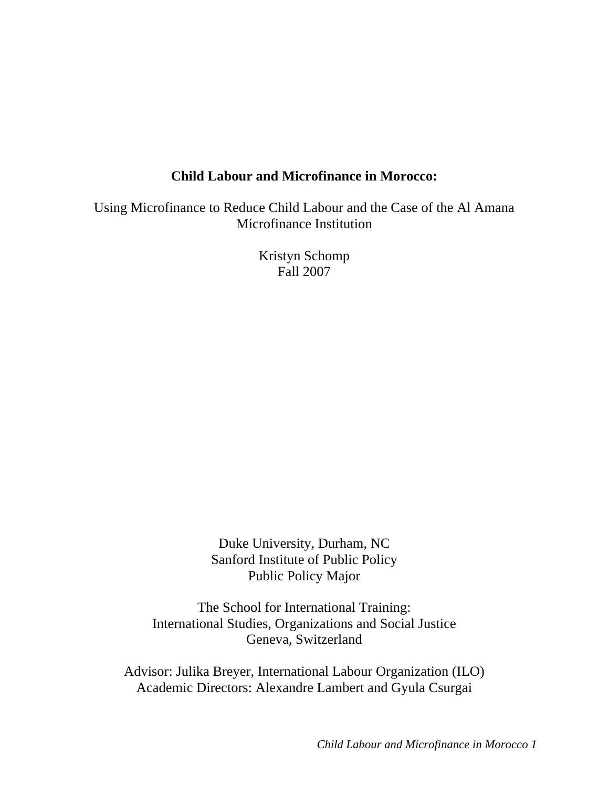# **Child Labour and Microfinance in Morocco:**

Using Microfinance to Reduce Child Labour and the Case of the Al Amana Microfinance Institution

> Kristyn Schomp Fall 2007

Duke University, Durham, NC Sanford Institute of Public Policy Public Policy Major

The School for International Training: International Studies, Organizations and Social Justice Geneva, Switzerland

Advisor: Julika Breyer, International Labour Organization (ILO) Academic Directors: Alexandre Lambert and Gyula Csurgai

*Child Labour and Microfinance in Morocco 1*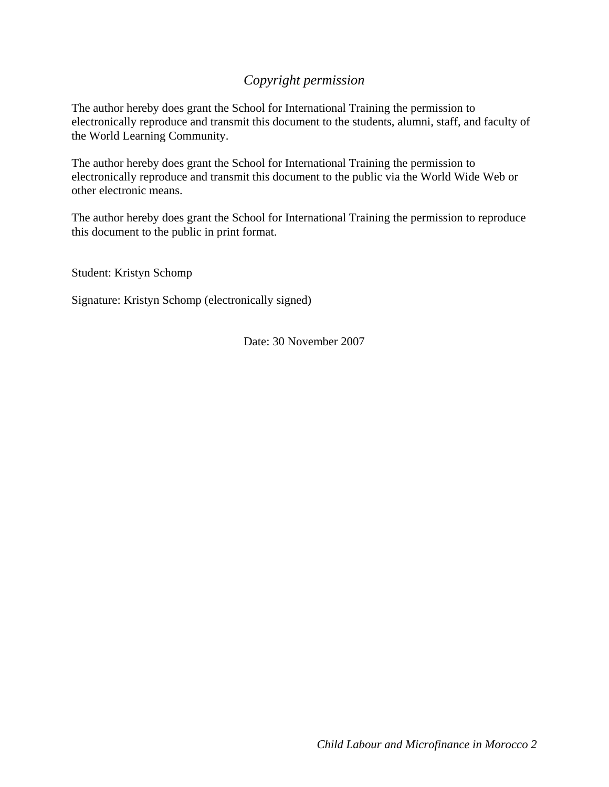# *Copyright permission*

The author hereby does grant the School for International Training the permission to electronically reproduce and transmit this document to the students, alumni, staff, and faculty of the World Learning Community.

The author hereby does grant the School for International Training the permission to electronically reproduce and transmit this document to the public via the World Wide Web or other electronic means.

The author hereby does grant the School for International Training the permission to reproduce this document to the public in print format.

Student: Kristyn Schomp

Signature: Kristyn Schomp (electronically signed)

Date: 30 November 2007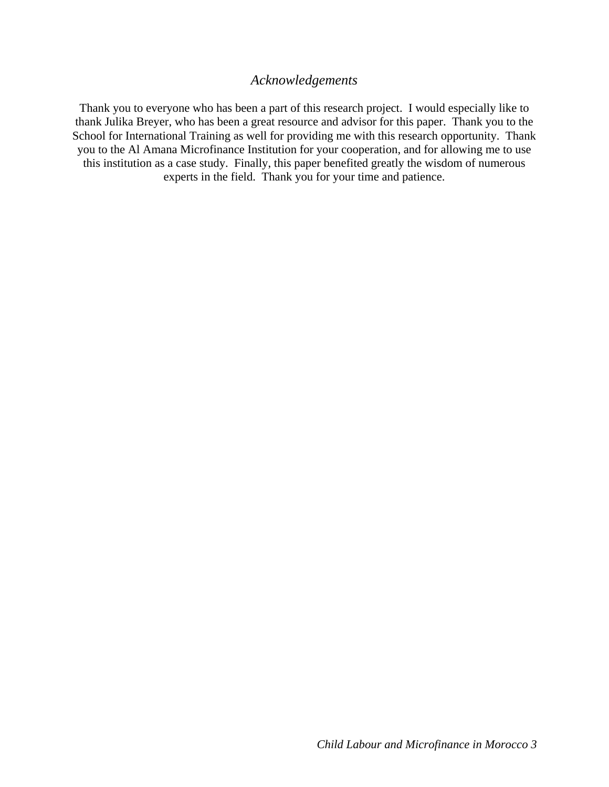## *Acknowledgements*

Thank you to everyone who has been a part of this research project. I would especially like to thank Julika Breyer, who has been a great resource and advisor for this paper. Thank you to the School for International Training as well for providing me with this research opportunity. Thank you to the Al Amana Microfinance Institution for your cooperation, and for allowing me to use this institution as a case study. Finally, this paper benefited greatly the wisdom of numerous experts in the field. Thank you for your time and patience.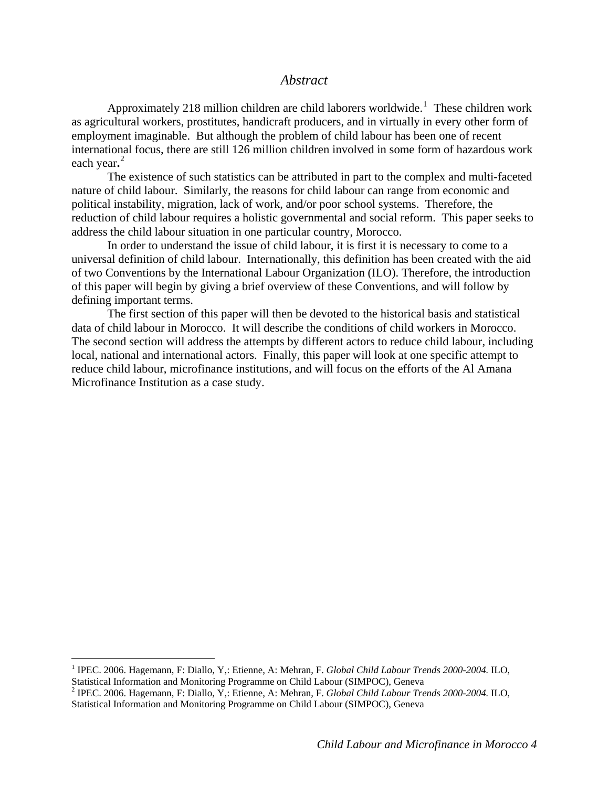## *Abstract*

Approximately 2[1](#page-3-0)8 million children are child laborers worldwide.<sup>1</sup> These children work as agricultural workers, prostitutes, handicraft producers, and in virtually in every other form of employment imaginable. But although the problem of child labour has been one of recent international focus, there are still 126 million children involved in some form of hazardous work each year**.** [2](#page-3-1)

 The existence of such statistics can be attributed in part to the complex and multi-faceted nature of child labour. Similarly, the reasons for child labour can range from economic and political instability, migration, lack of work, and/or poor school systems. Therefore, the reduction of child labour requires a holistic governmental and social reform. This paper seeks to address the child labour situation in one particular country, Morocco.

In order to understand the issue of child labour, it is first it is necessary to come to a universal definition of child labour. Internationally, this definition has been created with the aid of two Conventions by the International Labour Organization (ILO). Therefore, the introduction of this paper will begin by giving a brief overview of these Conventions, and will follow by defining important terms.

The first section of this paper will then be devoted to the historical basis and statistical data of child labour in Morocco. It will describe the conditions of child workers in Morocco. The second section will address the attempts by different actors to reduce child labour, including local, national and international actors. Finally, this paper will look at one specific attempt to reduce child labour, microfinance institutions, and will focus on the efforts of the Al Amana Microfinance Institution as a case study.

<span id="page-3-0"></span><sup>&</sup>lt;sup>1</sup> IPEC. 2006. Hagemann, F: Diallo, Y,: Etienne, A: Mehran, F. *Global Child Labour Trends* 2000-2004. ILO, Statistical Information and Monitoring Programme on Child Labour (SIMPOC), Geneva

<span id="page-3-1"></span><sup>2</sup> IPEC. 2006. Hagemann, F: Diallo, Y,: Etienne, A: Mehran, F. *Global Child Labour Trends 2000-2004.* ILO, Statistical Information and Monitoring Programme on Child Labour (SIMPOC), Geneva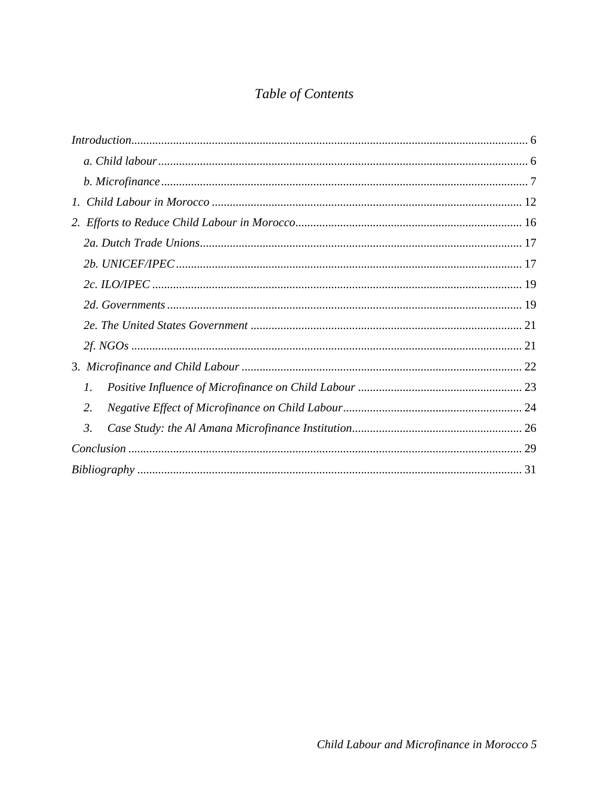# Table of Contents

| 7. |  |
|----|--|
| 2. |  |
| 3. |  |
|    |  |
|    |  |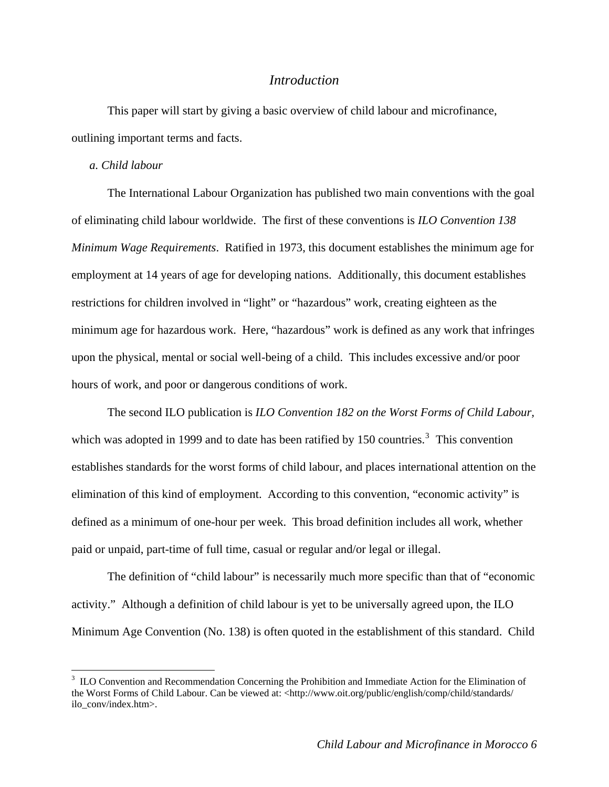## *Introduction*

<span id="page-5-0"></span>This paper will start by giving a basic overview of child labour and microfinance, outlining important terms and facts.

#### *a. Child labour*

 $\overline{a}$ 

The International Labour Organization has published two main conventions with the goal of eliminating child labour worldwide. The first of these conventions is *ILO Convention 138 Minimum Wage Requirements*. Ratified in 1973, this document establishes the minimum age for employment at 14 years of age for developing nations. Additionally, this document establishes restrictions for children involved in "light" or "hazardous" work, creating eighteen as the minimum age for hazardous work. Here, "hazardous" work is defined as any work that infringes upon the physical, mental or social well-being of a child. This includes excessive and/or poor hours of work, and poor or dangerous conditions of work.

The second ILO publication is *ILO Convention 182 on the Worst Forms of Child Labour,*  which was adopted in 1999 and to date has been ratified by 150 countries.<sup>[3](#page-5-1)</sup> This convention establishes standards for the worst forms of child labour, and places international attention on the elimination of this kind of employment. According to this convention, "economic activity" is defined as a minimum of one-hour per week. This broad definition includes all work, whether paid or unpaid, part-time of full time, casual or regular and/or legal or illegal.

The definition of "child labour" is necessarily much more specific than that of "economic activity." Although a definition of child labour is yet to be universally agreed upon, the ILO Minimum Age Convention (No. 138) is often quoted in the establishment of this standard. Child

<span id="page-5-1"></span><sup>&</sup>lt;sup>3</sup> ILO Convention and Recommendation Concerning the Prohibition and Immediate Action for the Elimination of the Worst Forms of Child Labour. Can be viewed at: <http://www.oit.org/public/english/comp/child/standards/ ilo\_conv/index.htm>.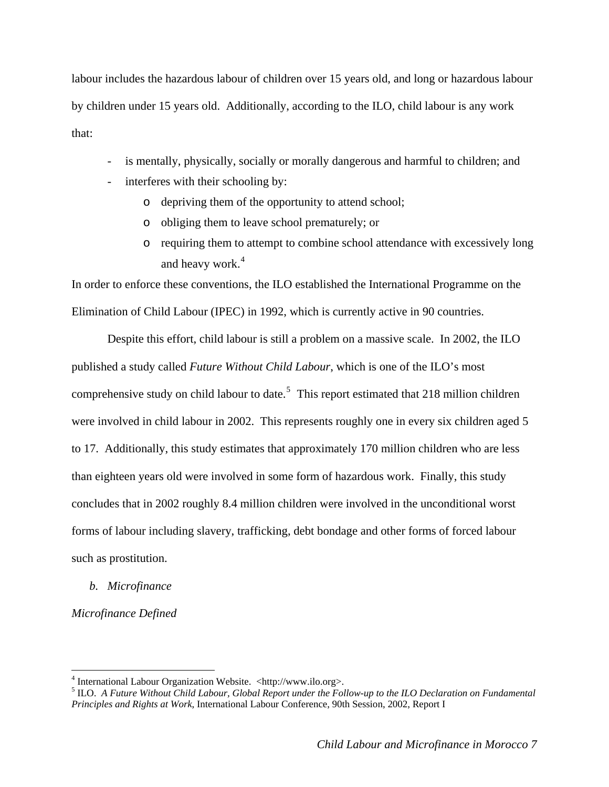<span id="page-6-0"></span>labour includes the hazardous labour of children over 15 years old, and long or hazardous labour by children under 15 years old. Additionally, according to the ILO, child labour is any work that:

- is mentally, physically, socially or morally dangerous and harmful to children; and
- interferes with their schooling by:
	- o depriving them of the opportunity to attend school;
	- o obliging them to leave school prematurely; or
	- o requiring them to attempt to combine school attendance with excessively long and heavy work.<sup>[4](#page-6-1)</sup>

In order to enforce these conventions, the ILO established the International Programme on the Elimination of Child Labour (IPEC) in 1992, which is currently active in 90 countries.

Despite this effort, child labour is still a problem on a massive scale. In 2002, the ILO published a study called *Future Without Child Labour*, which is one of the ILO's most comprehensive study on child labour to date.<sup>[5](#page-6-2)</sup> This report estimated that 218 million children were involved in child labour in 2002. This represents roughly one in every six children aged 5 to 17. Additionally, this study estimates that approximately 170 million children who are less than eighteen years old were involved in some form of hazardous work. Finally, this study concludes that in 2002 roughly 8.4 million children were involved in the unconditional worst forms of labour including slavery, trafficking, debt bondage and other forms of forced labour such as prostitution.

*b. Microfinance* 

*Microfinance Defined* 

<sup>&</sup>lt;sup>4</sup> International Labour Organization Website. <http://www.ilo.org>.

<span id="page-6-2"></span><span id="page-6-1"></span><sup>5</sup> ILO. *A Future Without Child Labour, Global Report under the Follow-up to the ILO Declaration on Fundamental Principles and Rights at Work*, International Labour Conference, 90th Session, 2002, Report I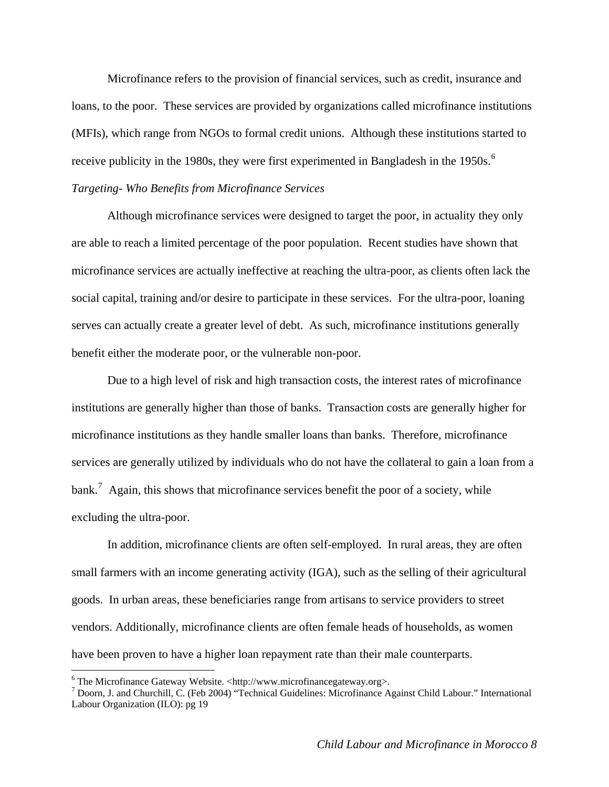Microfinance refers to the provision of financial services, such as credit, insurance and loans, to the poor. These services are provided by organizations called microfinance institutions (MFIs), which range from NGOs to formal credit unions. Although these institutions started to receive publicity in the 1980s, they were first experimented in Bangladesh in the 1950s.<sup>[6](#page-7-0)</sup> *Targeting- Who Benefits from Microfinance Services* 

Although microfinance services were designed to target the poor, in actuality they only are able to reach a limited percentage of the poor population. Recent studies have shown that microfinance services are actually ineffective at reaching the ultra-poor, as clients often lack the social capital, training and/or desire to participate in these services. For the ultra-poor, loaning serves can actually create a greater level of debt. As such, microfinance institutions generally benefit either the moderate poor, or the vulnerable non-poor.

Due to a high level of risk and high transaction costs, the interest rates of microfinance institutions are generally higher than those of banks. Transaction costs are generally higher for microfinance institutions as they handle smaller loans than banks. Therefore, microfinance services are generally utilized by individuals who do not have the collateral to gain a loan from a bank.<sup>[7](#page-7-1)</sup> Again, this shows that microfinance services benefit the poor of a society, while excluding the ultra-poor.

In addition, microfinance clients are often self-employed. In rural areas, they are often small farmers with an income generating activity (IGA), such as the selling of their agricultural goods. In urban areas, these beneficiaries range from artisans to service providers to street vendors. Additionally, microfinance clients are often female heads of households, as women have been proven to have a higher loan repayment rate than their male counterparts.

<span id="page-7-0"></span><sup>&</sup>lt;sup>6</sup> The Microfinance Gateway Website. <http://www.microfinancegateway.org>.

<span id="page-7-1"></span><sup>7</sup> Doorn, J. and Churchill, C. (Feb 2004) "Technical Guidelines: Microfinance Against Child Labour." International Labour Organization (ILO): pg 19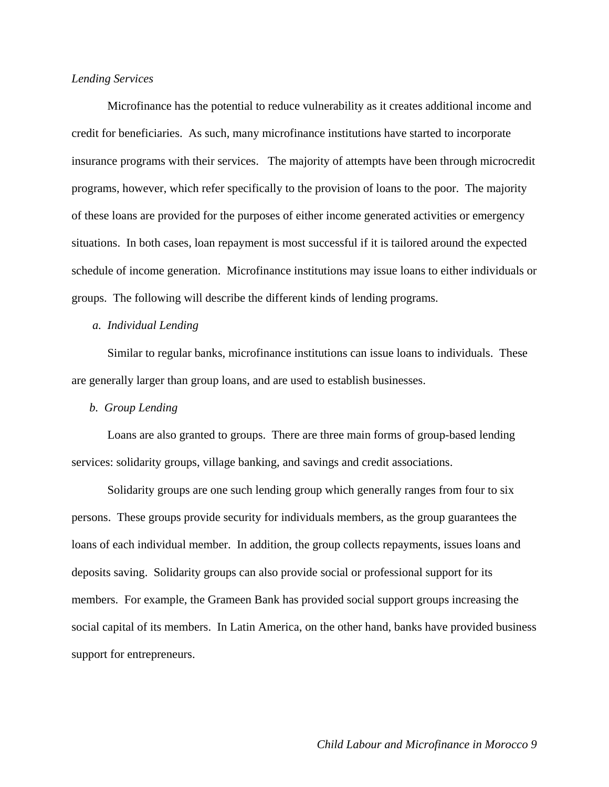#### *Lending Services*

Microfinance has the potential to reduce vulnerability as it creates additional income and credit for beneficiaries. As such, many microfinance institutions have started to incorporate insurance programs with their services. The majority of attempts have been through microcredit programs, however, which refer specifically to the provision of loans to the poor. The majority of these loans are provided for the purposes of either income generated activities or emergency situations. In both cases, loan repayment is most successful if it is tailored around the expected schedule of income generation. Microfinance institutions may issue loans to either individuals or groups. The following will describe the different kinds of lending programs.

#### *a. Individual Lending*

Similar to regular banks, microfinance institutions can issue loans to individuals. These are generally larger than group loans, and are used to establish businesses.

#### *b. Group Lending*

 Loans are also granted to groups. There are three main forms of group-based lending services: solidarity groups, village banking, and savings and credit associations.

Solidarity groups are one such lending group which generally ranges from four to six persons. These groups provide security for individuals members, as the group guarantees the loans of each individual member. In addition, the group collects repayments, issues loans and deposits saving. Solidarity groups can also provide social or professional support for its members. For example, the Grameen Bank has provided social support groups increasing the social capital of its members. In Latin America, on the other hand, banks have provided business support for entrepreneurs.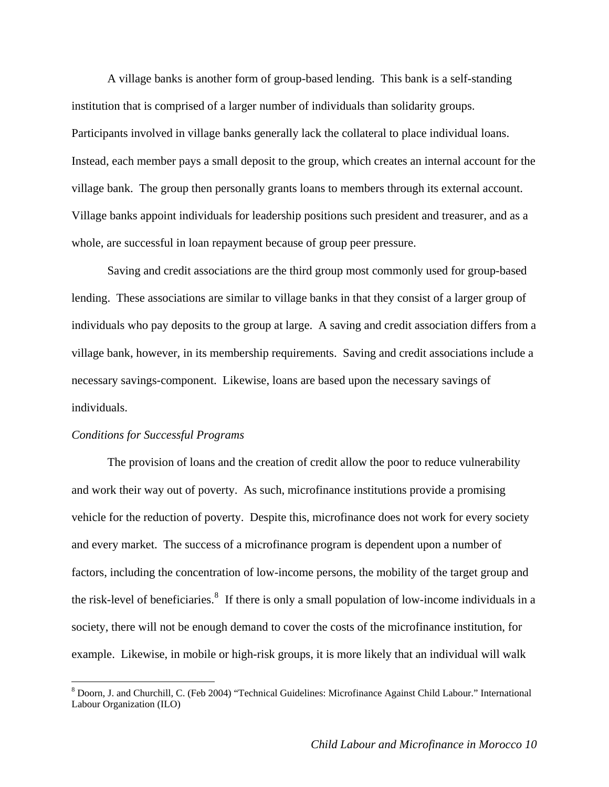A village banks is another form of group-based lending. This bank is a self-standing institution that is comprised of a larger number of individuals than solidarity groups. Participants involved in village banks generally lack the collateral to place individual loans. Instead, each member pays a small deposit to the group, which creates an internal account for the village bank. The group then personally grants loans to members through its external account. Village banks appoint individuals for leadership positions such president and treasurer, and as a whole, are successful in loan repayment because of group peer pressure.

Saving and credit associations are the third group most commonly used for group-based lending. These associations are similar to village banks in that they consist of a larger group of individuals who pay deposits to the group at large. A saving and credit association differs from a village bank, however, in its membership requirements. Saving and credit associations include a necessary savings-component. Likewise, loans are based upon the necessary savings of individuals.

#### *Conditions for Successful Programs*

 $\overline{a}$ 

The provision of loans and the creation of credit allow the poor to reduce vulnerability and work their way out of poverty. As such, microfinance institutions provide a promising vehicle for the reduction of poverty. Despite this, microfinance does not work for every society and every market. The success of a microfinance program is dependent upon a number of factors, including the concentration of low-income persons, the mobility of the target group and the risk-level of beneficiaries.<sup>[8](#page-9-0)</sup> If there is only a small population of low-income individuals in a society, there will not be enough demand to cover the costs of the microfinance institution, for example. Likewise, in mobile or high-risk groups, it is more likely that an individual will walk

<span id="page-9-0"></span><sup>&</sup>lt;sup>8</sup> Doorn, J. and Churchill, C. (Feb 2004) "Technical Guidelines: Microfinance Against Child Labour." International Labour Organization (ILO)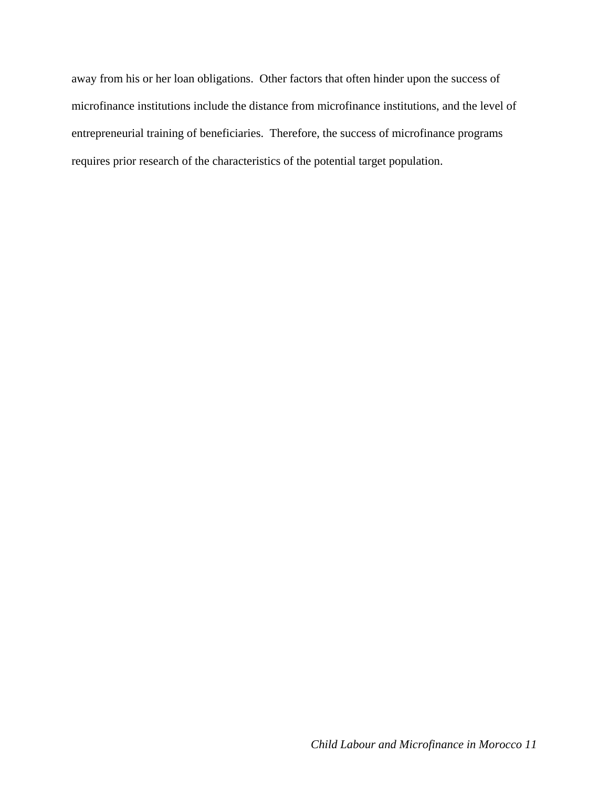away from his or her loan obligations. Other factors that often hinder upon the success of microfinance institutions include the distance from microfinance institutions, and the level of entrepreneurial training of beneficiaries. Therefore, the success of microfinance programs requires prior research of the characteristics of the potential target population.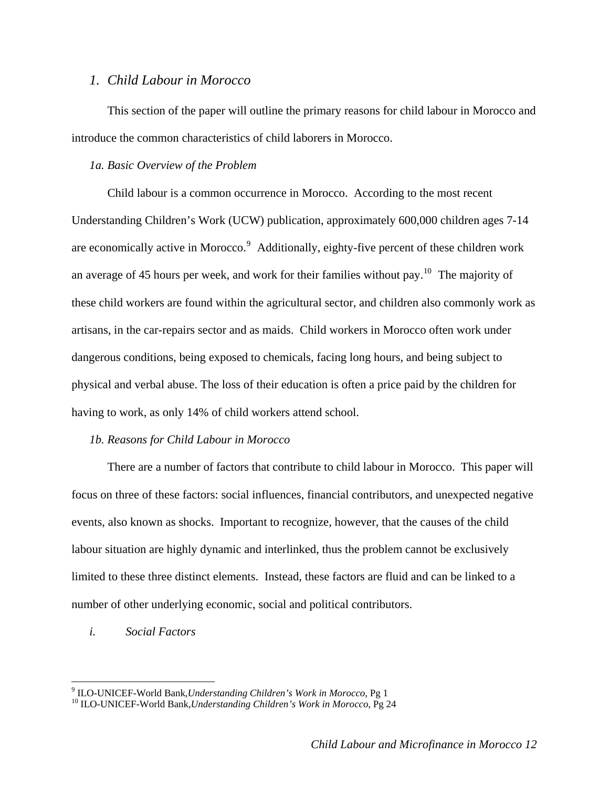## <span id="page-11-0"></span>*1. Child Labour in Morocco*

This section of the paper will outline the primary reasons for child labour in Morocco and introduce the common characteristics of child laborers in Morocco.

#### *1a. Basic Overview of the Problem*

Child labour is a common occurrence in Morocco. According to the most recent Understanding Children's Work (UCW) publication, approximately 600,000 children ages 7-14 are economically active in Morocco.<sup>[9](#page-11-1)</sup> Additionally, eighty-five percent of these children work an average of 45 hours per week, and work for their families without pay.<sup>[10](#page-11-2)</sup> The majority of these child workers are found within the agricultural sector, and children also commonly work as artisans, in the car-repairs sector and as maids. Child workers in Morocco often work under dangerous conditions, being exposed to chemicals, facing long hours, and being subject to physical and verbal abuse. The loss of their education is often a price paid by the children for having to work, as only 14% of child workers attend school.

### *1b. Reasons for Child Labour in Morocco*

 There are a number of factors that contribute to child labour in Morocco. This paper will focus on three of these factors: social influences, financial contributors, and unexpected negative events, also known as shocks. Important to recognize, however, that the causes of the child labour situation are highly dynamic and interlinked, thus the problem cannot be exclusively limited to these three distinct elements. Instead, these factors are fluid and can be linked to a number of other underlying economic, social and political contributors.

## *i. Social Factors*

<span id="page-11-1"></span> $9$  ILO-UNICEF-World Bank, Understanding Children's Work in Morocco, Pg 1

<span id="page-11-2"></span><sup>&</sup>lt;sup>10</sup> ILO-UNICEF-World Bank,*Understanding Children's Work in Morocco*, Pg 24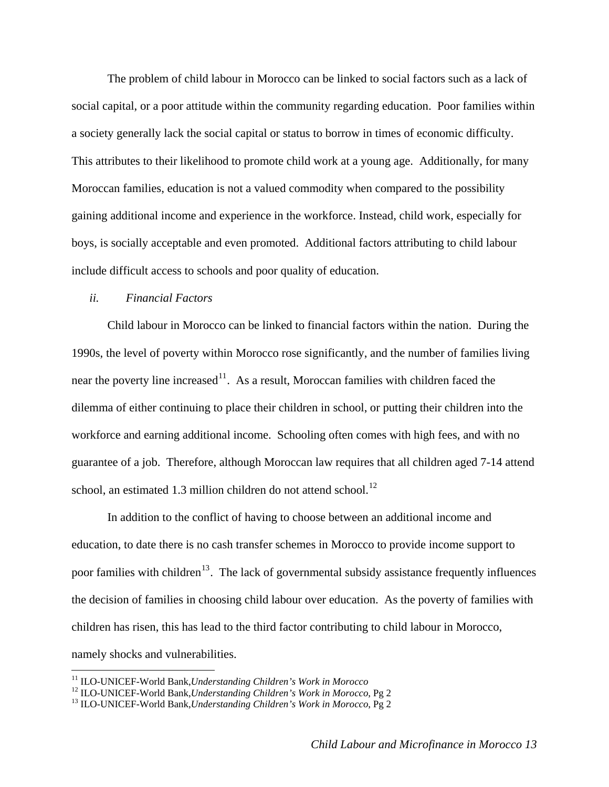The problem of child labour in Morocco can be linked to social factors such as a lack of social capital, or a poor attitude within the community regarding education. Poor families within a society generally lack the social capital or status to borrow in times of economic difficulty. This attributes to their likelihood to promote child work at a young age. Additionally, for many Moroccan families, education is not a valued commodity when compared to the possibility gaining additional income and experience in the workforce. Instead, child work, especially for boys, is socially acceptable and even promoted. Additional factors attributing to child labour include difficult access to schools and poor quality of education.

### *ii. Financial Factors*

Child labour in Morocco can be linked to financial factors within the nation. During the 1990s, the level of poverty within Morocco rose significantly, and the number of families living near the poverty line increased<sup>[11](#page-12-0)</sup>. As a result, Moroccan families with children faced the dilemma of either continuing to place their children in school, or putting their children into the workforce and earning additional income. Schooling often comes with high fees, and with no guarantee of a job. Therefore, although Moroccan law requires that all children aged 7-14 attend school, an estimated 1.3 million children do not attend school.<sup>[12](#page-12-1)</sup>

In addition to the conflict of having to choose between an additional income and education, to date there is no cash transfer schemes in Morocco to provide income support to poor families with children<sup>[13](#page-12-2)</sup>. The lack of governmental subsidy assistance frequently influences the decision of families in choosing child labour over education.As the poverty of families with children has risen, this has lead to the third factor contributing to child labour in Morocco, namely shocks and vulnerabilities.

<span id="page-12-1"></span><span id="page-12-0"></span><sup>&</sup>lt;sup>11</sup> ILO-UNICEF-World Bank, *Understanding Children's Work in Morocco*<br><sup>12</sup> ILO-UNICEF-World Bank, *Understanding Children's Work in Morocco*, Pg 2<br><sup>13</sup> ILO-UNICEF-World Bank, *Understanding Children's Work in Morocco*, P

<span id="page-12-2"></span>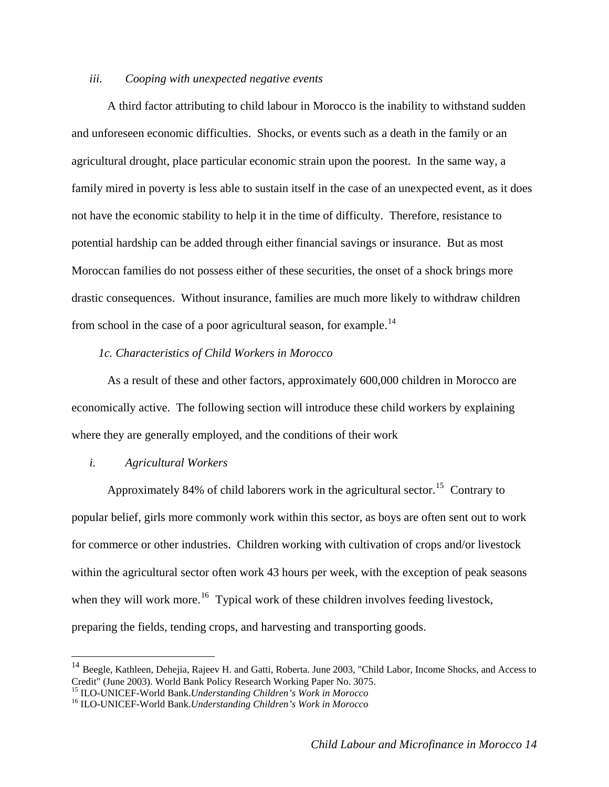## *iii. Cooping with unexpected negative events*

A third factor attributing to child labour in Morocco is the inability to withstand sudden and unforeseen economic difficulties. Shocks, or events such as a death in the family or an agricultural drought, place particular economic strain upon the poorest. In the same way, a family mired in poverty is less able to sustain itself in the case of an unexpected event, as it does not have the economic stability to help it in the time of difficulty. Therefore, resistance to potential hardship can be added through either financial savings or insurance. But as most Moroccan families do not possess either of these securities, the onset of a shock brings more drastic consequences. Without insurance, families are much more likely to withdraw children from school in the case of a poor agricultural season, for example.<sup>[14](#page-13-0)</sup>

#### *1c. Characteristics of Child Workers in Morocco*

 As a result of these and other factors, approximately 600,000 children in Morocco are economically active. The following section will introduce these child workers by explaining where they are generally employed, and the conditions of their work

#### *i. Agricultural Workers*

 $\overline{a}$ 

Approximately 84% of child laborers work in the agricultural sector.<sup>[15](#page-13-1)</sup> Contrary to popular belief, girls more commonly work within this sector, as boys are often sent out to work for commerce or other industries. Children working with cultivation of crops and/or livestock within the agricultural sector often work 43 hours per week, with the exception of peak seasons when they will work more.<sup>[16](#page-13-2)</sup> Typical work of these children involves feeding livestock, preparing the fields, tending crops, and harvesting and transporting goods.

<span id="page-13-0"></span><sup>&</sup>lt;sup>14</sup> Beegle, Kathleen, Dehejia, Rajeev H. and Gatti, Roberta. June 2003, "Child Labor, Income Shocks, and Access to Credit" (June 2003). World Bank Policy Research Working Paper No. 3075.<br><sup>15</sup> ILO-UNICEF-World Bank. *Understanding Children's Work in Morocco* 

<span id="page-13-1"></span>

<span id="page-13-2"></span><sup>&</sup>lt;sup>16</sup> ILO-UNICEF-World Bank.*Understanding Children's Work in Morocco*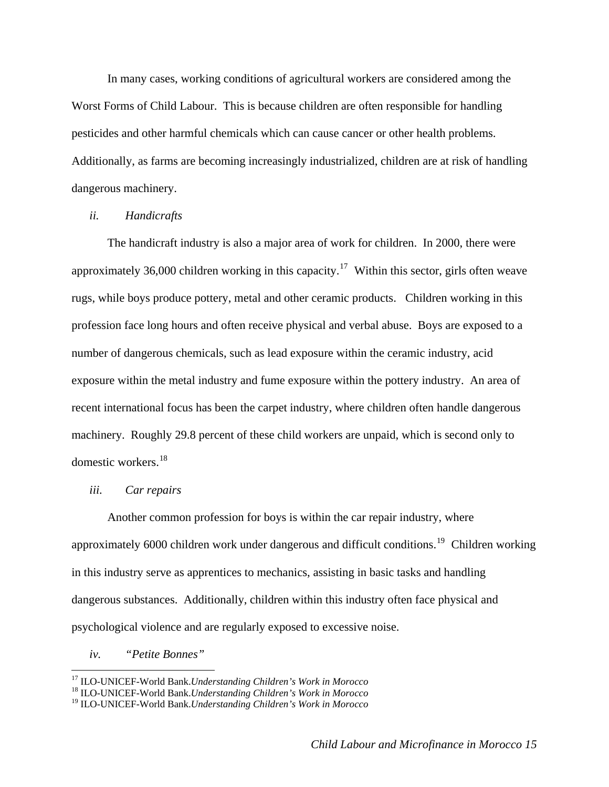In many cases, working conditions of agricultural workers are considered among the Worst Forms of Child Labour. This is because children are often responsible for handling pesticides and other harmful chemicals which can cause cancer or other health problems. Additionally, as farms are becoming increasingly industrialized, children are at risk of handling dangerous machinery.

### *ii. Handicrafts*

The handicraft industry is also a major area of work for children. In 2000, there were approximately 36,000 children working in this capacity.<sup>[17](#page-14-0)</sup> Within this sector, girls often weave rugs, while boys produce pottery, metal and other ceramic products. Children working in this profession face long hours and often receive physical and verbal abuse. Boys are exposed to a number of dangerous chemicals, such as lead exposure within the ceramic industry, acid exposure within the metal industry and fume exposure within the pottery industry. An area of recent international focus has been the carpet industry, where children often handle dangerous machinery. Roughly 29.8 percent of these child workers are unpaid, which is second only to domestic workers.<sup>[18](#page-14-1)</sup>

#### *iii. Car repairs*

Another common profession for boys is within the car repair industry, where approximately 6000 children work under dangerous and difficult conditions.<sup>[19](#page-14-2)</sup> Children working in this industry serve as apprentices to mechanics, assisting in basic tasks and handling dangerous substances. Additionally, children within this industry often face physical and psychological violence and are regularly exposed to excessive noise.

*iv. "Petite Bonnes"* 

<span id="page-14-1"></span><span id="page-14-0"></span><sup>17</sup> ILO-UNICEF-World Bank.*Understanding Children's Work in Morocco* 18 ILO-UNICEF-World Bank.*Understanding Children's Work in Morocco*

<span id="page-14-2"></span><sup>19</sup> ILO-UNICEF-World Bank.*Understanding Children's Work in Morocco*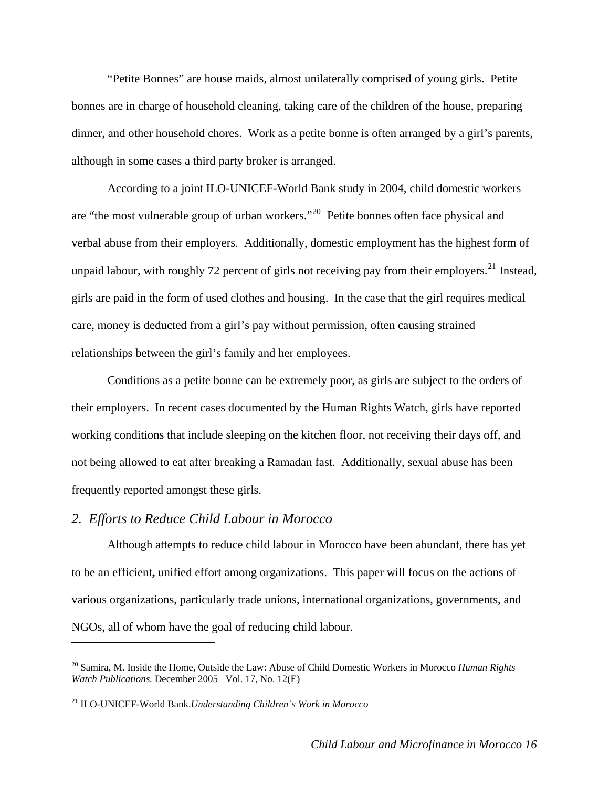<span id="page-15-0"></span>"Petite Bonnes" are house maids, almost unilaterally comprised of young girls. Petite bonnes are in charge of household cleaning, taking care of the children of the house, preparing dinner, and other household chores. Work as a petite bonne is often arranged by a girl's parents, although in some cases a third party broker is arranged.

According to a joint ILO-UNICEF-World Bank study in 2004, child domestic workers are "the most vulnerable group of urban workers."[20](#page-15-1) Petite bonnes often face physical and verbal abuse from their employers. Additionally, domestic employment has the highest form of unpaid labour, with roughly 72 percent of girls not receiving pay from their employers.<sup>[21](#page-15-2)</sup> Instead, girls are paid in the form of used clothes and housing. In the case that the girl requires medical care, money is deducted from a girl's pay without permission, often causing strained relationships between the girl's family and her employees.

Conditions as a petite bonne can be extremely poor, as girls are subject to the orders of their employers. In recent cases documented by the Human Rights Watch, girls have reported working conditions that include sleeping on the kitchen floor, not receiving their days off, and not being allowed to eat after breaking a Ramadan fast. Additionally, sexual abuse has been frequently reported amongst these girls.

## *2. Efforts to Reduce Child Labour in Morocco*

 $\overline{a}$ 

 Although attempts to reduce child labour in Morocco have been abundant, there has yet to be an efficient**,** unified effort among organizations. This paper will focus on the actions of various organizations, particularly trade unions, international organizations, governments, and NGOs, all of whom have the goal of reducing child labour.

<span id="page-15-1"></span><sup>20</sup> Samira, M. Inside the Home, Outside the Law: Abuse of Child Domestic Workers in Morocco *Human Rights Watch Publications.* December 2005 Vol. 17, No. 12(E)

<span id="page-15-2"></span><sup>21</sup> ILO-UNICEF-World Bank.*Understanding Children's Work in Morocco*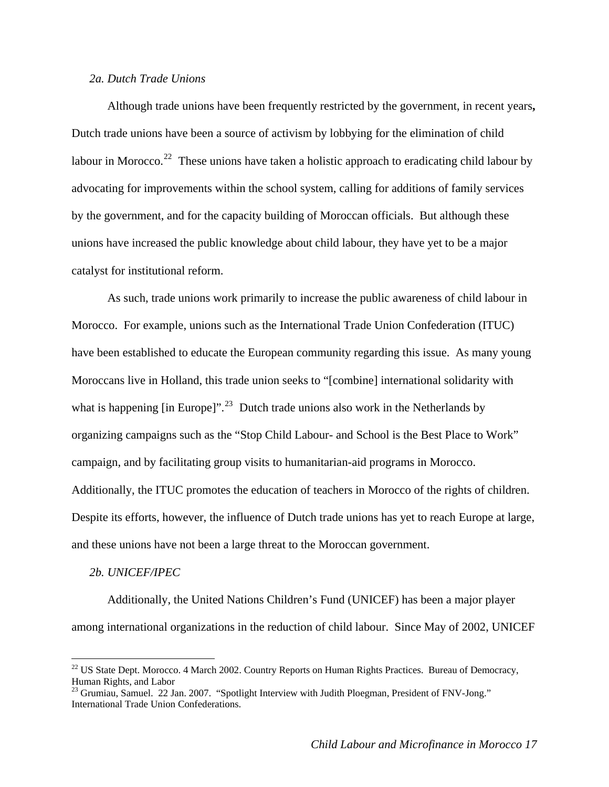### <span id="page-16-0"></span>*2a. Dutch Trade Unions*

Although trade unions have been frequently restricted by the government, in recent years**,** Dutch trade unions have been a source of activism by lobbying for the elimination of child labour in Morocco.<sup>[22](#page-16-1)</sup> These unions have taken a holistic approach to eradicating child labour by advocating for improvements within the school system, calling for additions of family services by the government, and for the capacity building of Moroccan officials. But although these unions have increased the public knowledge about child labour, they have yet to be a major catalyst for institutional reform.

As such, trade unions work primarily to increase the public awareness of child labour in Morocco. For example, unions such as the International Trade Union Confederation (ITUC) have been established to educate the European community regarding this issue. As many young Moroccans live in Holland, this trade union seeks to "[combine] international solidarity with what is happening  $\lceil \text{in Europe} \rceil$ ".<sup>[23](#page-16-2)</sup> Dutch trade unions also work in the Netherlands by organizing campaigns such as the "Stop Child Labour- and School is the Best Place to Work" campaign, and by facilitating group visits to humanitarian-aid programs in Morocco. Additionally, the ITUC promotes the education of teachers in Morocco of the rights of children. Despite its efforts, however, the influence of Dutch trade unions has yet to reach Europe at large, and these unions have not been a large threat to the Moroccan government.

#### *2b. UNICEF/IPEC*

 $\overline{a}$ 

Additionally, the United Nations Children's Fund (UNICEF) has been a major player among international organizations in the reduction of child labour. Since May of 2002, UNICEF

<span id="page-16-1"></span><sup>&</sup>lt;sup>22</sup> US State Dept. Morocco. 4 March 2002. Country Reports on Human Rights Practices. Bureau of Democracy, Human Rights, and Labor

<span id="page-16-2"></span><sup>&</sup>lt;sup>23</sup> Grumiau, Samuel. 22 Jan. 2007. "Spotlight Interview with Judith Ploegman, President of FNV-Jong." International Trade Union Confederations.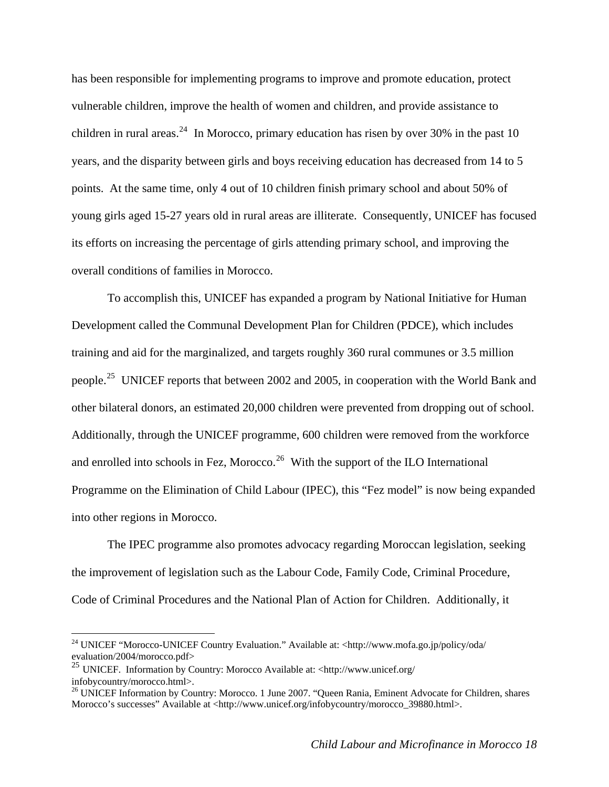has been responsible for implementing programs to improve and promote education, protect vulnerable children, improve the health of women and children, and provide assistance to children in rural areas.<sup>[24](#page-17-0)</sup> In Morocco, primary education has risen by over 30% in the past 10 years, and the disparity between girls and boys receiving education has decreased from 14 to 5 points. At the same time, only 4 out of 10 children finish primary school and about 50% of young girls aged 15-27 years old in rural areas are illiterate. Consequently, UNICEF has focused its efforts on increasing the percentage of girls attending primary school, and improving the overall conditions of families in Morocco.

To accomplish this, UNICEF has expanded a program by National Initiative for Human Development called the Communal Development Plan for Children (PDCE), which includes training and aid for the marginalized, and targets roughly 360 rural communes or 3.5 million people.<sup>[25](#page-17-1)</sup> UNICEF reports that between 2002 and 2005, in cooperation with the World Bank and other bilateral donors, an estimated 20,000 children were prevented from dropping out of school. Additionally, through the UNICEF programme, 600 children were removed from the workforce and enrolled into schools in Fez, Morocco.<sup>[26](#page-17-2)</sup> With the support of the ILO International Programme on the Elimination of Child Labour (IPEC), this "Fez model" is now being expanded into other regions in Morocco.

The IPEC programme also promotes advocacy regarding Moroccan legislation, seeking the improvement of legislation such as the Labour Code, Family Code, Criminal Procedure, Code of Criminal Procedures and the National Plan of Action for Children. Additionally, it

<span id="page-17-0"></span><sup>&</sup>lt;sup>24</sup> UNICEF "Morocco-UNICEF Country Evaluation." Available at: <http://www.mofa.go.jp/policy/oda/ evaluation/2004/morocco.pdf>

<span id="page-17-1"></span><sup>&</sup>lt;sup>25</sup> UNICEF. Information by Country: Morocco Available at: <http://www.unicef.org/<br>infobycountry/morocco.html>.

<span id="page-17-2"></span><sup>&</sup>lt;sup>26</sup> UNICEF Information by Country: Morocco. 1 June 2007. "Oueen Rania, Eminent Advocate for Children, shares Morocco's successes" Available at <http://www.unicef.org/infobycountry/morocco\_39880.html>.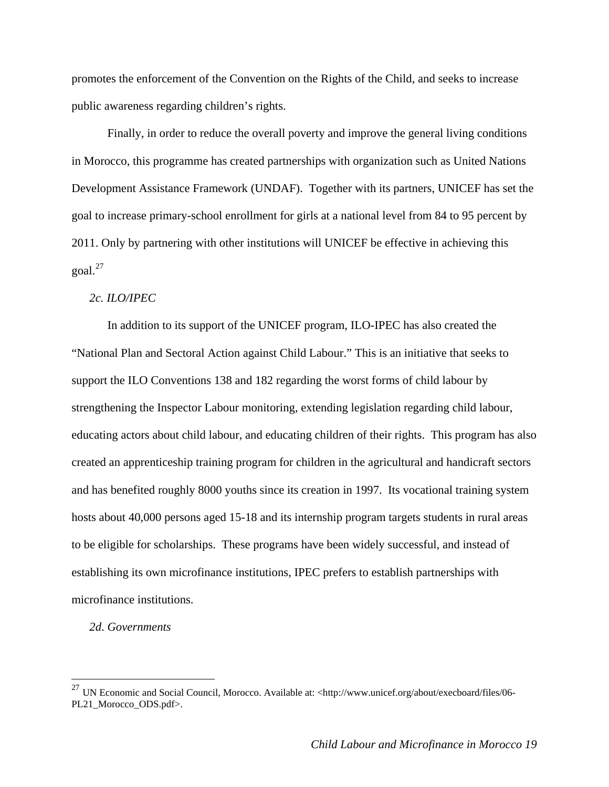<span id="page-18-0"></span>promotes the enforcement of the Convention on the Rights of the Child, and seeks to increase public awareness regarding children's rights.

Finally, in order to reduce the overall poverty and improve the general living conditions in Morocco, this programme has created partnerships with organization such as United Nations Development Assistance Framework (UNDAF). Together with its partners, UNICEF has set the goal to increase primary-school enrollment for girls at a national level from 84 to 95 percent by 2011. Only by partnering with other institutions will UNICEF be effective in achieving this  $\gamma$ goal.<sup>[27](#page-18-1)</sup>

## *2c. ILO/IPEC*

In addition to its support of the UNICEF program, ILO-IPEC has also created the "National Plan and Sectoral Action against Child Labour." This is an initiative that seeks to support the ILO Conventions 138 and 182 regarding the worst forms of child labour by strengthening the Inspector Labour monitoring, extending legislation regarding child labour, educating actors about child labour, and educating children of their rights. This program has also created an apprenticeship training program for children in the agricultural and handicraft sectors and has benefited roughly 8000 youths since its creation in 1997. Its vocational training system hosts about 40,000 persons aged 15-18 and its internship program targets students in rural areas to be eligible for scholarships. These programs have been widely successful, and instead of establishing its own microfinance institutions, IPEC prefers to establish partnerships with microfinance institutions.

#### *2d*. *Governments*

<span id="page-18-1"></span><sup>&</sup>lt;sup>27</sup> UN Economic and Social Council, Morocco. Available at: <http://www.unicef.org/about/execboard/files/06-PL21\_Morocco\_ODS.pdf>.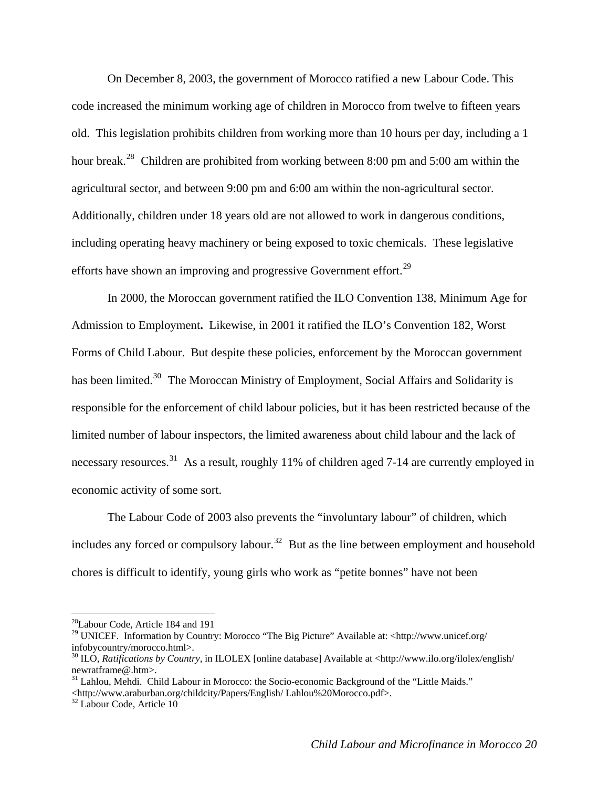On December 8, 2003, the government of Morocco ratified a new Labour Code. This code increased the minimum working age of children in Morocco from twelve to fifteen years old. This legislation prohibits children from working more than 10 hours per day, including a 1 hour break.<sup>[28](#page-19-0)</sup> Children are prohibited from working between 8:00 pm and 5:00 am within the agricultural sector, and between 9:00 pm and 6:00 am within the non-agricultural sector. Additionally, children under 18 years old are not allowed to work in dangerous conditions, including operating heavy machinery or being exposed to toxic chemicals. These legislative efforts have shown an improving and progressive Government effort.<sup>[29](#page-19-1)</sup>

In 2000, the Moroccan government ratified the ILO Convention 138, Minimum Age for Admission to Employment**.** Likewise, in 2001 it ratified the ILO's Convention 182, Worst Forms of Child Labour. But despite these policies, enforcement by the Moroccan government has been limited.<sup>[30](#page-19-2)</sup> The Moroccan Ministry of Employment, Social Affairs and Solidarity is responsible for the enforcement of child labour policies, but it has been restricted because of the limited number of labour inspectors, the limited awareness about child labour and the lack of necessary resources.<sup>[31](#page-19-3)</sup> As a result, roughly 11% of children aged 7-14 are currently employed in economic activity of some sort.

The Labour Code of 2003 also prevents the "involuntary labour" of children, which includes any forced or compulsory labour.<sup>[32](#page-19-4)</sup> But as the line between employment and household chores is difficult to identify, young girls who work as "petite bonnes" have not been

<span id="page-19-0"></span><sup>&</sup>lt;sup>28</sup>Labour Code, Article 184 and 191

<span id="page-19-1"></span><sup>&</sup>lt;sup>29</sup> UNICEF. Information by Country: Morocco "The Big Picture" Available at: <http://www.unicef.org/ infobycountry/morocco.html>.

<span id="page-19-2"></span><sup>30</sup> ILO, *Ratifications by Country,* in ILOLEX [online database] Available at <http://www.ilo.org/ilolex/english/ newratframe@.htm>.

<span id="page-19-3"></span> $31$  Lahlou, Mehdi. Child Labour in Morocco: the Socio-economic Background of the "Little Maids." <http://www.araburban.org/childcity/Papers/English/ Lahlou%20Morocco.pdf>. 32 Labour Code, Article 10

<span id="page-19-4"></span>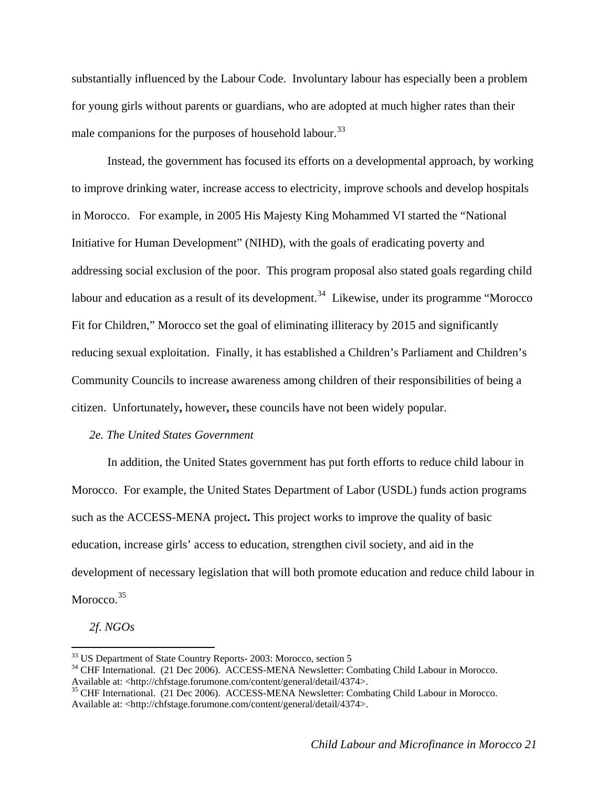<span id="page-20-0"></span>substantially influenced by the Labour Code. Involuntary labour has especially been a problem for young girls without parents or guardians, who are adopted at much higher rates than their male companions for the purposes of household labour.<sup>[33](#page-20-1)</sup>

Instead, the government has focused its efforts on a developmental approach, by working to improve drinking water, increase access to electricity, improve schools and develop hospitals in Morocco. For example, in 2005 His Majesty King Mohammed VI started the "National Initiative for Human Development" (NIHD), with the goals of eradicating poverty and addressing social exclusion of the poor. This program proposal also stated goals regarding child labour and education as a result of its development.<sup>[34](#page-20-2)</sup> Likewise, under its programme "Morocco" Fit for Children," Morocco set the goal of eliminating illiteracy by 2015 and significantly reducing sexual exploitation. Finally, it has established a Children's Parliament and Children's Community Councils to increase awareness among children of their responsibilities of being a citizen. Unfortunately**,** however**,** these councils have not been widely popular.

#### *2e. The United States Government*

In addition, the United States government has put forth efforts to reduce child labour in Morocco. For example, the United States Department of Labor (USDL) funds action programs such as the ACCESS-MENA project**.** This project works to improve the quality of basic education, increase girls' access to education, strengthen civil society, and aid in the development of necessary legislation that will both promote education and reduce child labour in Morocco.<sup>[35](#page-20-3)</sup>

*2f*. *NGOs* 

<span id="page-20-1"></span><sup>&</sup>lt;sup>33</sup> US Department of State Country Reports- 2003: Morocco, section 5

<span id="page-20-2"></span><sup>&</sup>lt;sup>34</sup> CHF International. (21 Dec 2006). ACCESS-MENA Newsletter: Combating Child Labour in Morocco. Available at: <http://chfstage.forumone.com/content/general/detail/4374>.

<span id="page-20-3"></span><sup>&</sup>lt;sup>35</sup> CHF International. (21 Dec 2006). ACCESS-MENA Newsletter: Combating Child Labour in Morocco. Available at: <http://chfstage.forumone.com/content/general/detail/4374>.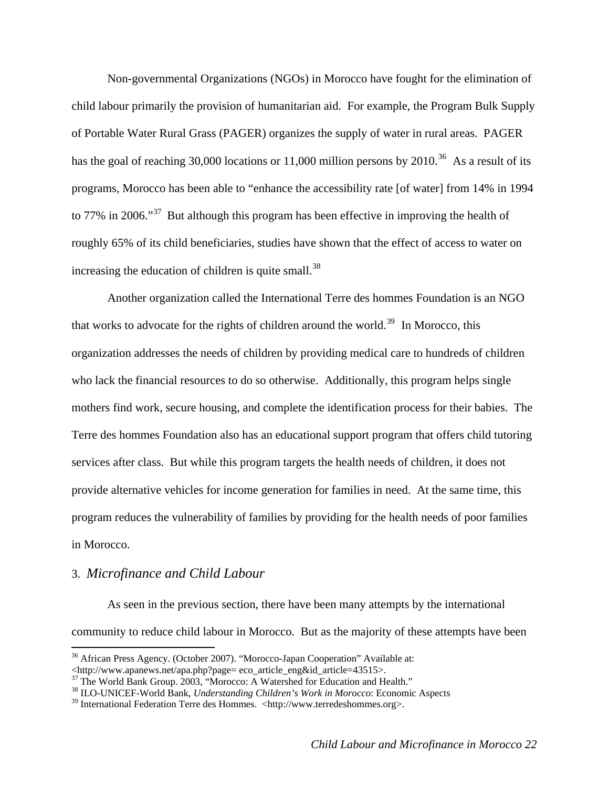<span id="page-21-0"></span> Non-governmental Organizations (NGOs) in Morocco have fought for the elimination of child labour primarily the provision of humanitarian aid. For example, the Program Bulk Supply of Portable Water Rural Grass (PAGER) organizes the supply of water in rural areas. PAGER has the goal of reaching 30,000 locations or 11,000 million persons by 2010.<sup>[36](#page-21-1)</sup> As a result of its programs, Morocco has been able to "enhance the accessibility rate [of water] from 14% in 1994 to 77% in 2006."<sup>[37](#page-21-2)</sup> But although this program has been effective in improving the health of roughly 65% of its child beneficiaries, studies have shown that the effect of access to water on increasing the education of children is quite small.<sup>[38](#page-21-3)</sup>

Another organization called the International Terre des hommes Foundation is an NGO that works to advocate for the rights of children around the world.<sup>[39](#page-21-4)</sup> In Morocco, this organization addresses the needs of children by providing medical care to hundreds of children who lack the financial resources to do so otherwise. Additionally, this program helps single mothers find work, secure housing, and complete the identification process for their babies. The Terre des hommes Foundation also has an educational support program that offers child tutoring services after class. But while this program targets the health needs of children, it does not provide alternative vehicles for income generation for families in need. At the same time, this program reduces the vulnerability of families by providing for the health needs of poor families in Morocco.

## 3. *Microfinance and Child Labour*

 $\overline{a}$ 

As seen in the previous section, there have been many attempts by the international community to reduce child labour in Morocco. But as the majority of these attempts have been

<span id="page-21-1"></span><sup>&</sup>lt;sup>36</sup> African Press Agency. (October 2007). "Morocco-Japan Cooperation" Available at:

<sup>&</sup>lt;http://www.apanews.net/apa.php?page= eco\_article\_eng&id\_article=43515>.

<span id="page-21-2"></span><sup>&</sup>lt;sup>37</sup> The World Bank Group. 2003, "Morocco: A Watershed for Education and Health."

<span id="page-21-3"></span><sup>38</sup> ILO-UNICEF-World Bank, *Understanding Children's Work in Morocco*: Economic Aspects

<span id="page-21-4"></span> $39$  International Federation Terre des Hommes. <http://www.terredeshommes.org>.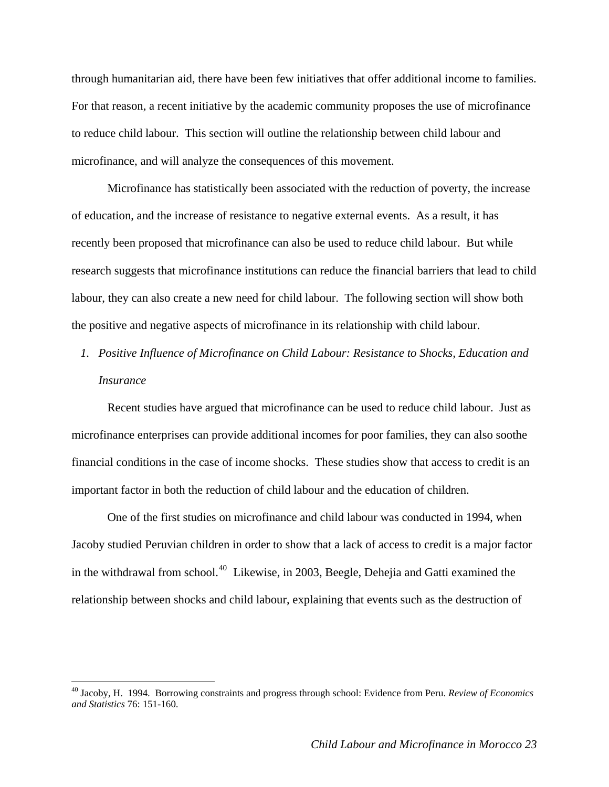<span id="page-22-0"></span>through humanitarian aid, there have been few initiatives that offer additional income to families. For that reason, a recent initiative by the academic community proposes the use of microfinance to reduce child labour. This section will outline the relationship between child labour and microfinance, and will analyze the consequences of this movement.

Microfinance has statistically been associated with the reduction of poverty, the increase of education, and the increase of resistance to negative external events. As a result, it has recently been proposed that microfinance can also be used to reduce child labour. But while research suggests that microfinance institutions can reduce the financial barriers that lead to child labour, they can also create a new need for child labour. The following section will show both the positive and negative aspects of microfinance in its relationship with child labour.

*1. Positive Influence of Microfinance on Child Labour: Resistance to Shocks, Education and Insurance* 

Recent studies have argued that microfinance can be used to reduce child labour. Just as microfinance enterprises can provide additional incomes for poor families, they can also soothe financial conditions in the case of income shocks. These studies show that access to credit is an important factor in both the reduction of child labour and the education of children.

One of the first studies on microfinance and child labour was conducted in 1994, when Jacoby studied Peruvian children in order to show that a lack of access to credit is a major factor in the withdrawal from school.[40](#page-22-1) Likewise, in 2003, Beegle, Dehejia and Gatti examined the relationship between shocks and child labour, explaining that events such as the destruction of

<span id="page-22-1"></span><sup>40</sup> Jacoby, H. 1994. Borrowing constraints and progress through school: Evidence from Peru. *Review of Economics and Statistics* 76: 151-160.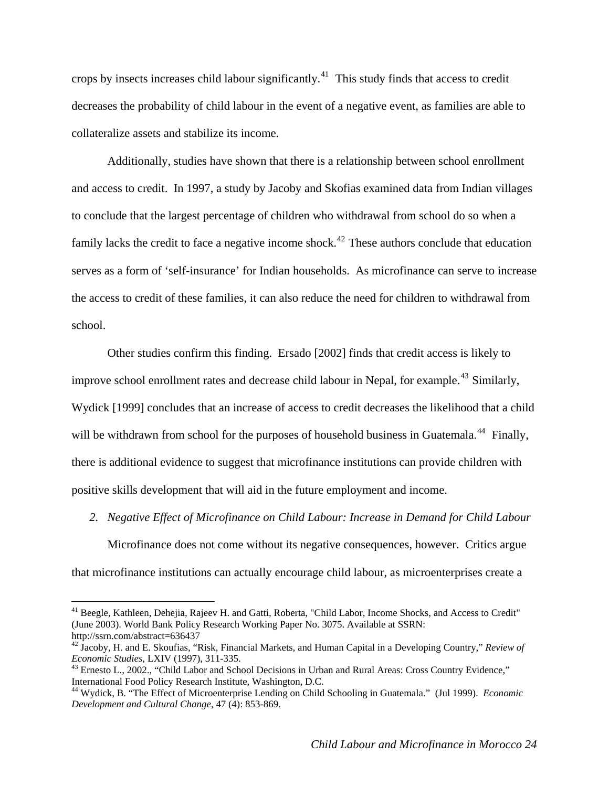<span id="page-23-0"></span>crops by insects increases child labour significantly.[41](#page-23-1) This study finds that access to credit decreases the probability of child labour in the event of a negative event, as families are able to collateralize assets and stabilize its income.

Additionally, studies have shown that there is a relationship between school enrollment and access to credit. In 1997, a study by Jacoby and Skofias examined data from Indian villages to conclude that the largest percentage of children who withdrawal from school do so when a family lacks the credit to face a negative income shock.<sup>[42](#page-23-2)</sup> These authors conclude that education serves as a form of 'self-insurance' for Indian households. As microfinance can serve to increase the access to credit of these families, it can also reduce the need for children to withdrawal from school.

Other studies confirm this finding. Ersado [2002] finds that credit access is likely to improve school enrollment rates and decrease child labour in Nepal, for example.<sup>[43](#page-23-3)</sup> Similarly, Wydick [1999] concludes that an increase of access to credit decreases the likelihood that a child will be withdrawn from school for the purposes of household business in Guatemala.<sup>[44](#page-23-4)</sup> Finally, there is additional evidence to suggest that microfinance institutions can provide children with positive skills development that will aid in the future employment and income.

*2. Negative Effect of Microfinance on Child Labour: Increase in Demand for Child Labour* 

Microfinance does not come without its negative consequences, however. Critics argue that microfinance institutions can actually encourage child labour, as microenterprises create a

<span id="page-23-1"></span><sup>&</sup>lt;sup>41</sup> Beegle, Kathleen, Dehejia, Rajeev H. and Gatti, Roberta, "Child Labor, Income Shocks, and Access to Credit" (June 2003). World Bank Policy Research Working Paper No. 3075. Available at SSRN:

<span id="page-23-2"></span><sup>&</sup>lt;sup>42</sup> Jacoby, H. and E. Skoufias, "Risk, Financial Markets, and Human Capital in a Developing Country," *Review of Economic Studies*, LXIV (1997), 311-335.

<span id="page-23-3"></span><sup>&</sup>lt;sup>43</sup> Ernesto L., 2002., "Child Labor and School Decisions in Urban and Rural Areas: Cross Country Evidence," International Food Policy Research Institute, Washington, D.C.

<span id="page-23-4"></span><sup>44</sup> Wydick, B. "The Effect of Microenterprise Lending on Child Schooling in Guatemala." (Jul 1999). *Economic Development and Cultural Change*, 47 (4): 853-869.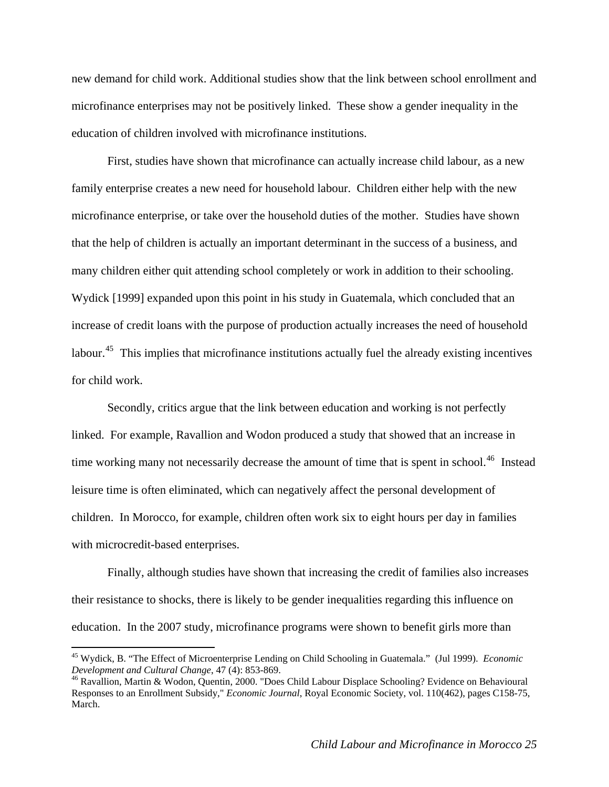new demand for child work. Additional studies show that the link between school enrollment and microfinance enterprises may not be positively linked. These show a gender inequality in the education of children involved with microfinance institutions.

First, studies have shown that microfinance can actually increase child labour, as a new family enterprise creates a new need for household labour. Children either help with the new microfinance enterprise, or take over the household duties of the mother. Studies have shown that the help of children is actually an important determinant in the success of a business, and many children either quit attending school completely or work in addition to their schooling. Wydick [1999] expanded upon this point in his study in Guatemala, which concluded that an increase of credit loans with the purpose of production actually increases the need of household labour.<sup>[45](#page-24-0)</sup> This implies that microfinance institutions actually fuel the already existing incentives for child work.

Secondly, critics argue that the link between education and working is not perfectly linked. For example, Ravallion and Wodon produced a study that showed that an increase in time working many not necessarily decrease the amount of time that is spent in school.<sup>[46](#page-24-1)</sup> Instead leisure time is often eliminated, which can negatively affect the personal development of children. In Morocco, for example, children often work six to eight hours per day in families with microcredit-based enterprises.

Finally, although studies have shown that increasing the credit of families also increases their resistance to shocks, there is likely to be gender inequalities regarding this influence on education. In the 2007 study, microfinance programs were shown to benefit girls more than

<span id="page-24-0"></span><sup>45</sup> Wydick, B. "The Effect of Microenterprise Lending on Child Schooling in Guatemala." (Jul 1999). *Economic Development and Cultural Change*, 47 (4): 853-869.<br><sup>46</sup> Ravallion, Martin & Wodon, Quentin, 2000. "Does Child Labour Displace Schooling? Evidence on Behavioural

<span id="page-24-1"></span>Responses to an Enrollment Subsidy," *Economic Journal*, Royal Economic Society, vol. 110(462), pages C158-75, March.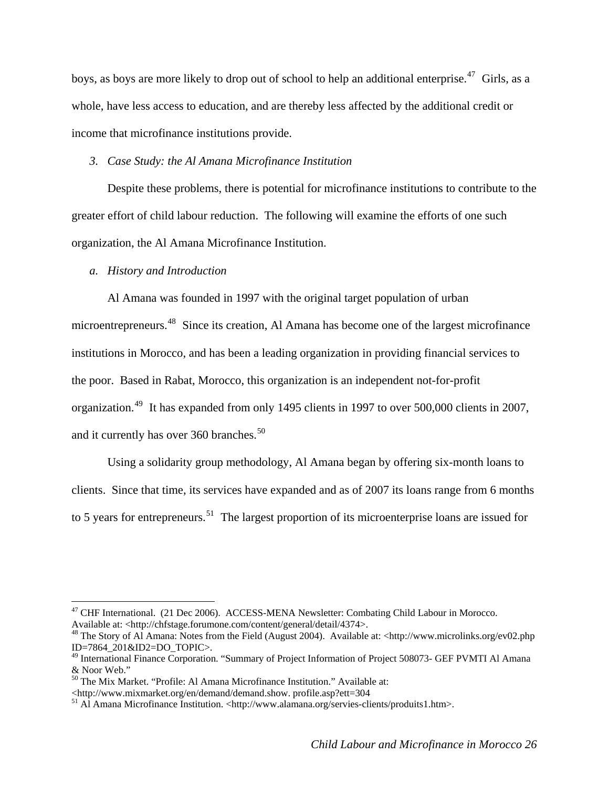<span id="page-25-0"></span>boys, as boys are more likely to drop out of school to help an additional enterprise.<sup>[47](#page-25-1)</sup> Girls, as a whole, have less access to education, and are thereby less affected by the additional credit or income that microfinance institutions provide.

### *3. Case Study: the Al Amana Microfinance Institution*

Despite these problems, there is potential for microfinance institutions to contribute to the greater effort of child labour reduction. The following will examine the efforts of one such organization, the Al Amana Microfinance Institution.

## *a. History and Introduction*

 $\overline{a}$ 

Al Amana was founded in 1997 with the original target population of urban

microentrepreneurs.[48](#page-25-2) Since its creation, Al Amana has become one of the largest microfinance institutions in Morocco, and has been a leading organization in providing financial services to the poor. Based in Rabat, Morocco, this organization is an independent not-for-profit organization.[49](#page-25-3) It has expanded from only 1495 clients in 1997 to over 500,000 clients in 2007, and it currently has over  $360$  branches.<sup>[50](#page-25-4)</sup>

Using a solidarity group methodology, Al Amana began by offering six-month loans to clients. Since that time, its services have expanded and as of 2007 its loans range from 6 months to 5 years for entrepreneurs.<sup>[51](#page-25-5)</sup> The largest proportion of its microenterprise loans are issued for

<span id="page-25-1"></span><sup>&</sup>lt;sup>47</sup> CHF International. (21 Dec 2006). ACCESS-MENA Newsletter: Combating Child Labour in Morocco. Available at: <http://chfstage.forumone.com/content/general/detail/4374>.

<span id="page-25-2"></span><sup>48</sup> The Story of Al Amana: Notes from the Field (August 2004). Available at: <http://www.microlinks.org/ev02.php ID=7864\_201&ID2=DO\_TOPIC>.

<span id="page-25-3"></span><sup>&</sup>lt;sup>49</sup> International Finance Corporation. "Summary of Project Information of Project 508073- GEF PVMTI Al Amana & Noor Web."

<span id="page-25-4"></span> $<sup>50</sup>$  The Mix Market. "Profile: Al Amana Microfinance Institution." Available at:</sup>

<sup>&</sup>lt;http://www.mixmarket.org/en/demand/demand.show. profile.asp?ett=304

<span id="page-25-5"></span> $<sup>51</sup>$  Al Amana Microfinance Institution. <http://www.alamana.org/servies-clients/produits1.htm>.</sup>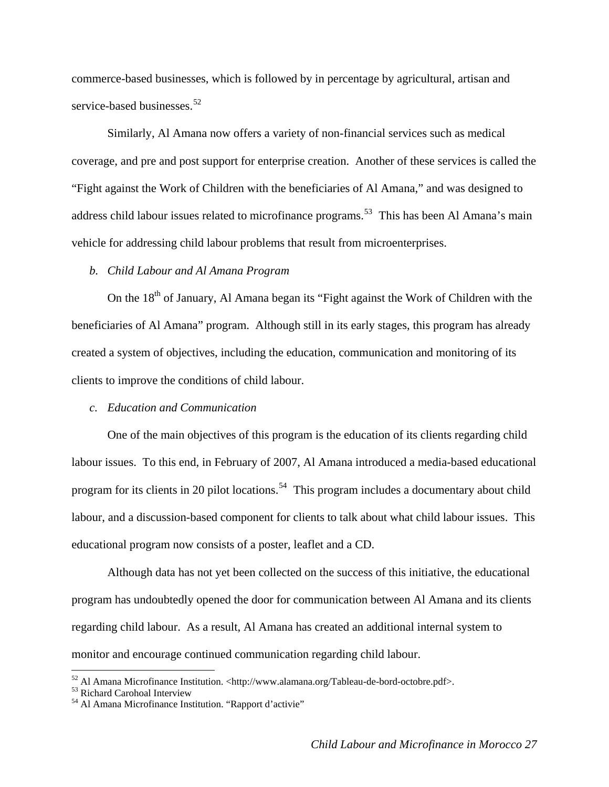commerce-based businesses, which is followed by in percentage by agricultural, artisan and service-based businesses.<sup>52</sup>

Similarly, Al Amana now offers a variety of non-financial services such as medical coverage, and pre and post support for enterprise creation. Another of these services is called the "Fight against the Work of Children with the beneficiaries of Al Amana," and was designed to address child labour issues related to microfinance programs.<sup>[53](#page-26-1)</sup> This has been Al Amana's main vehicle for addressing child labour problems that result from microenterprises.

### *b. Child Labour and Al Amana Program*

On the  $18<sup>th</sup>$  of January, Al Amana began its "Fight against the Work of Children with the beneficiaries of Al Amana" program. Although still in its early stages, this program has already created a system of objectives, including the education, communication and monitoring of its clients to improve the conditions of child labour.

#### *c. Education and Communication*

One of the main objectives of this program is the education of its clients regarding child labour issues. To this end, in February of 2007, Al Amana introduced a media-based educational program for its clients in 20 pilot locations.<sup>[54](#page-26-2)</sup> This program includes a documentary about child labour, and a discussion-based component for clients to talk about what child labour issues. This educational program now consists of a poster, leaflet and a CD.

Although data has not yet been collected on the success of this initiative, the educational program has undoubtedly opened the door for communication between Al Amana and its clients regarding child labour. As a result, Al Amana has created an additional internal system to monitor and encourage continued communication regarding child labour.

<span id="page-26-0"></span><sup>&</sup>lt;sup>52</sup> Al Amana Microfinance Institution. <http://www.alamana.org/Tableau-de-bord-octobre.pdf>.<br><sup>53</sup> Richard Carohoal Interview

<span id="page-26-2"></span><span id="page-26-1"></span><sup>54</sup> Al Amana Microfinance Institution. "Rapport d'activie"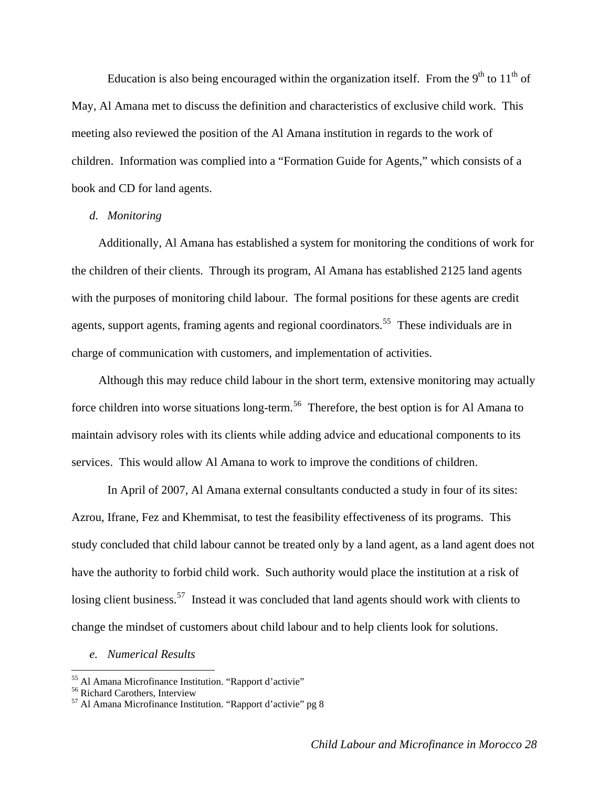Education is also being encouraged within the organization itself. From the  $9<sup>th</sup>$  to  $11<sup>th</sup>$  of May, Al Amana met to discuss the definition and characteristics of exclusive child work. This meeting also reviewed the position of the Al Amana institution in regards to the work of children. Information was complied into a "Formation Guide for Agents," which consists of a book and CD for land agents.

## *d. Monitoring*

Additionally, Al Amana has established a system for monitoring the conditions of work for the children of their clients. Through its program, Al Amana has established 2125 land agents with the purposes of monitoring child labour. The formal positions for these agents are credit agents, support agents, framing agents and regional coordinators.<sup>[55](#page-27-0)</sup> These individuals are in charge of communication with customers, and implementation of activities.

Although this may reduce child labour in the short term, extensive monitoring may actually force children into worse situations long-term.<sup>[56](#page-27-1)</sup> Therefore, the best option is for Al Amana to maintain advisory roles with its clients while adding advice and educational components to its services. This would allow Al Amana to work to improve the conditions of children.

In April of 2007, Al Amana external consultants conducted a study in four of its sites: Azrou, Ifrane, Fez and Khemmisat, to test the feasibility effectiveness of its programs. This study concluded that child labour cannot be treated only by a land agent, as a land agent does not have the authority to forbid child work. Such authority would place the institution at a risk of losing client business.<sup>[57](#page-27-2)</sup> Instead it was concluded that land agents should work with clients to change the mindset of customers about child labour and to help clients look for solutions.

*e. Numerical Results* 

<span id="page-27-1"></span><span id="page-27-0"></span><sup>55</sup> Al Amana Microfinance Institution. "Rapport d'activie" 56 Richard Carothers, Interview

<span id="page-27-2"></span><sup>57</sup> Al Amana Microfinance Institution. "Rapport d'activie" pg 8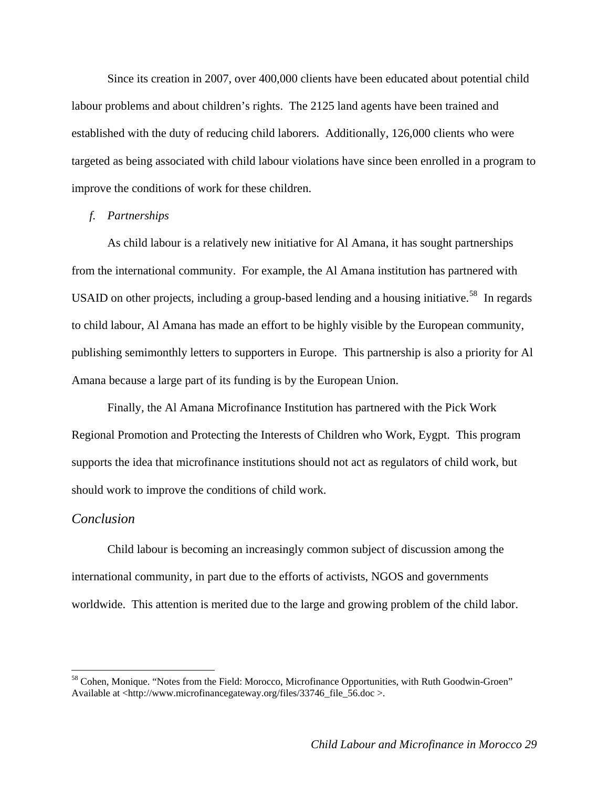<span id="page-28-0"></span> Since its creation in 2007, over 400,000 clients have been educated about potential child labour problems and about children's rights. The 2125 land agents have been trained and established with the duty of reducing child laborers. Additionally, 126,000 clients who were targeted as being associated with child labour violations have since been enrolled in a program to improve the conditions of work for these children.

## *f. Partnerships*

 As child labour is a relatively new initiative for Al Amana, it has sought partnerships from the international community. For example, the Al Amana institution has partnered with USAID on other projects, including a group-based lending and a housing initiative.<sup>[58](#page-28-1)</sup> In regards to child labour, Al Amana has made an effort to be highly visible by the European community, publishing semimonthly letters to supporters in Europe. This partnership is also a priority for Al Amana because a large part of its funding is by the European Union.

Finally, the Al Amana Microfinance Institution has partnered with the Pick Work Regional Promotion and Protecting the Interests of Children who Work, Eygpt. This program supports the idea that microfinance institutions should not act as regulators of child work, but should work to improve the conditions of child work.

### *Conclusion*

 $\overline{a}$ 

Child labour is becoming an increasingly common subject of discussion among the international community, in part due to the efforts of activists, NGOS and governments worldwide. This attention is merited due to the large and growing problem of the child labor.

<span id="page-28-1"></span><sup>&</sup>lt;sup>58</sup> Cohen, Monique. "Notes from the Field: Morocco, Microfinance Opportunities, with Ruth Goodwin-Groen" Available at <http://www.microfinancegateway.org/files/33746\_file\_56.doc >.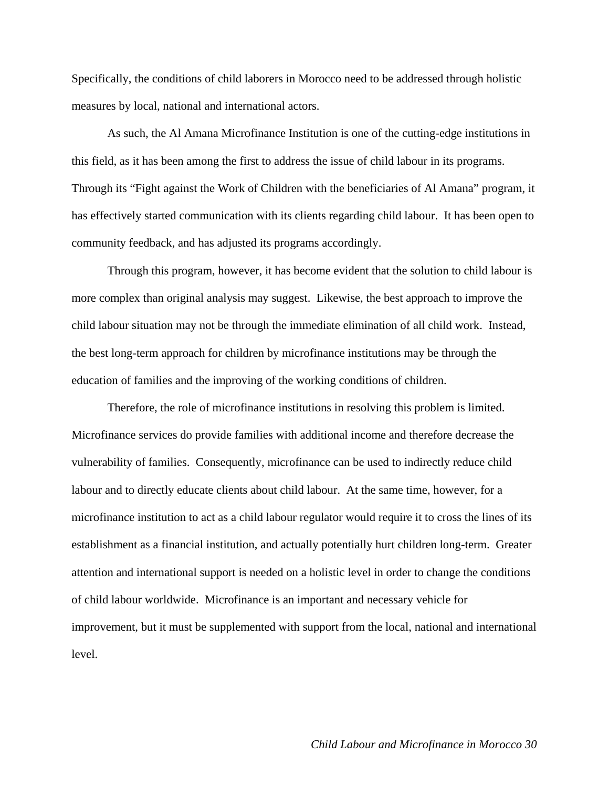Specifically, the conditions of child laborers in Morocco need to be addressed through holistic measures by local, national and international actors.

As such, the Al Amana Microfinance Institution is one of the cutting-edge institutions in this field, as it has been among the first to address the issue of child labour in its programs. Through its "Fight against the Work of Children with the beneficiaries of Al Amana" program, it has effectively started communication with its clients regarding child labour. It has been open to community feedback, and has adjusted its programs accordingly.

Through this program, however, it has become evident that the solution to child labour is more complex than original analysis may suggest. Likewise, the best approach to improve the child labour situation may not be through the immediate elimination of all child work. Instead, the best long-term approach for children by microfinance institutions may be through the education of families and the improving of the working conditions of children.

Therefore, the role of microfinance institutions in resolving this problem is limited. Microfinance services do provide families with additional income and therefore decrease the vulnerability of families. Consequently, microfinance can be used to indirectly reduce child labour and to directly educate clients about child labour. At the same time, however, for a microfinance institution to act as a child labour regulator would require it to cross the lines of its establishment as a financial institution, and actually potentially hurt children long-term. Greater attention and international support is needed on a holistic level in order to change the conditions of child labour worldwide. Microfinance is an important and necessary vehicle for improvement, but it must be supplemented with support from the local, national and international level.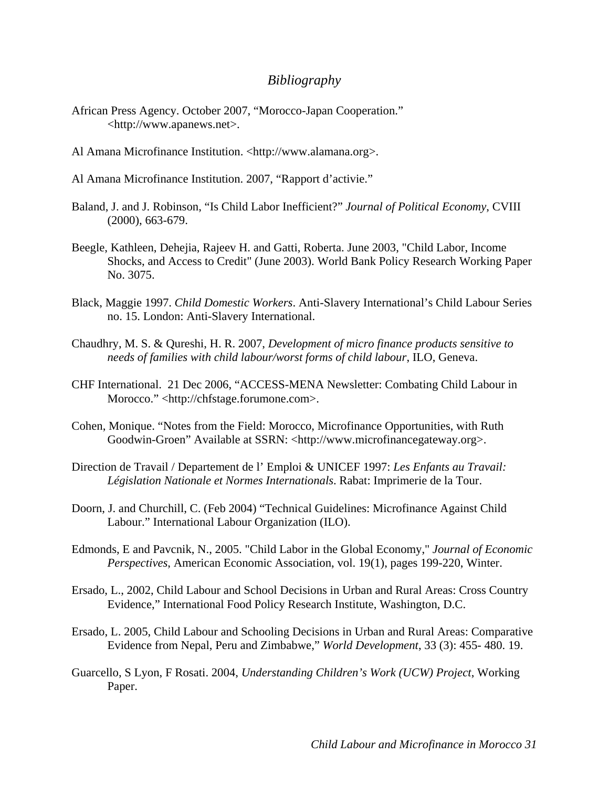## *Bibliography*

- <span id="page-30-0"></span>African Press Agency. October 2007, "Morocco-Japan Cooperation." <http://www.apanews.net>.
- Al Amana Microfinance Institution. <http://www.alamana.org>.
- Al Amana Microfinance Institution. 2007, "Rapport d'activie."
- Baland, J. and J. Robinson, "Is Child Labor Inefficient?" *Journal of Political Economy*, CVIII (2000), 663-679.
- Beegle, Kathleen, Dehejia, Rajeev H. and Gatti, Roberta. June 2003, "Child Labor, Income Shocks, and Access to Credit" (June 2003). World Bank Policy Research Working Paper No. 3075.
- Black, Maggie 1997. *Child Domestic Workers*. Anti-Slavery International's Child Labour Series no. 15. London: Anti-Slavery International.
- Chaudhry, M. S. & Qureshi, H. R. 2007, *Development of micro finance products sensitive to needs of families with child labour/worst forms of child labour*, ILO, Geneva.
- CHF International. 21 Dec 2006, "ACCESS-MENA Newsletter: Combating Child Labour in Morocco." <http://chfstage.forumone.com>.
- Cohen, Monique. "Notes from the Field: Morocco, Microfinance Opportunities, with Ruth Goodwin-Groen" Available at SSRN: <http://www.microfinancegateway.org>.
- Direction de Travail / Departement de l' Emploi & UNICEF 1997: *Les Enfants au Travail: Législation Nationale et Normes Internationals*. Rabat: Imprimerie de la Tour.
- Doorn, J. and Churchill, C. (Feb 2004) "Technical Guidelines: Microfinance Against Child Labour." International Labour Organization (ILO).
- Edmonds, E and Pavcnik, N., 2005. "Child Labor in the Global Economy," *Journal of Economic Perspectives*, American Economic Association, vol. 19(1), pages 199-220, Winter.
- Ersado, L., 2002, Child Labour and School Decisions in Urban and Rural Areas: Cross Country Evidence," International Food Policy Research Institute, Washington, D.C.
- Ersado, L. 2005, Child Labour and Schooling Decisions in Urban and Rural Areas: Comparative Evidence from Nepal, Peru and Zimbabwe," *World Development*, 33 (3): 455- 480. 19.
- Guarcello, S Lyon, F Rosati. 2004, *Understanding Children's Work (UCW) Project*, Working Paper.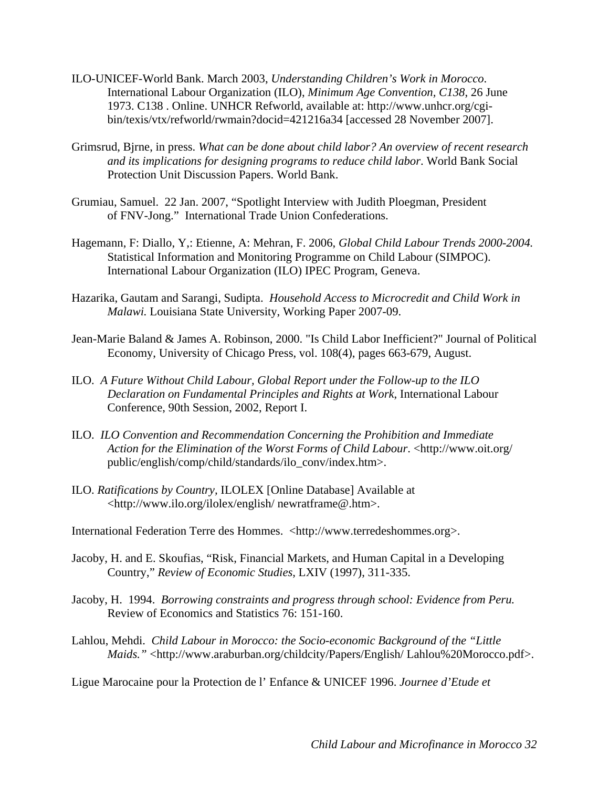- ILO-UNICEF-World Bank. March 2003, *Understanding Children's Work in Morocco*. International Labour Organization (ILO), *Minimum Age Convention, C138*, 26 June 1973. C138 . Online. UNHCR Refworld, available at: http://www.unhcr.org/cgibin/texis/vtx/refworld/rwmain?docid=421216a34 [accessed 28 November 2007].
- Grimsrud, Bjrne, in press. *What can be done about child labor? An overview of recent research and its implications for designing programs to reduce child labor*. World Bank Social Protection Unit Discussion Papers. World Bank.
- Grumiau, Samuel. 22 Jan. 2007, "Spotlight Interview with Judith Ploegman, President of FNV-Jong." International Trade Union Confederations.
- Hagemann, F: Diallo, Y,: Etienne, A: Mehran, F. 2006, *Global Child Labour Trends 2000-2004.*  Statistical Information and Monitoring Programme on Child Labour (SIMPOC). International Labour Organization (ILO) IPEC Program, Geneva.
- Hazarika, Gautam and Sarangi, Sudipta. *Household Access to Microcredit and Child Work in Malawi.* Louisiana State University, Working Paper 2007-09.
- Jean-Marie Baland & James A. Robinson, 2000. "Is Child Labor Inefficient?" Journal of Political Economy, University of Chicago Press, vol. 108(4), pages 663-679, August.
- ILO. *A Future Without Child Labour, Global Report under the Follow-up to the ILO Declaration on Fundamental Principles and Rights at Work*, International Labour Conference, 90th Session, 2002, Report I.
- ILO. *ILO Convention and Recommendation Concerning the Prohibition and Immediate Action for the Elimination of the Worst Forms of Child Labour*. <http://www.oit.org/ public/english/comp/child/standards/ilo\_conv/index.htm>.
- ILO. *Ratifications by Country,* ILOLEX [Online Database] Available at <http://www.ilo.org/ilolex/english/ newratframe@.htm>.

International Federation Terre des Hommes. <http://www.terredeshommes.org>.

- Jacoby, H. and E. Skoufias, "Risk, Financial Markets, and Human Capital in a Developing Country," *Review of Economic Studies*, LXIV (1997), 311-335.
- Jacoby, H. 1994. *Borrowing constraints and progress through school: Evidence from Peru.* Review of Economics and Statistics 76: 151-160.
- Lahlou, Mehdi. *Child Labour in Morocco: the Socio-economic Background of the "Little Maids."* <http://www.araburban.org/childcity/Papers/English/ Lahlou%20Morocco.pdf>.

Ligue Marocaine pour la Protection de l' Enfance & UNICEF 1996. *Journee d'Etude et*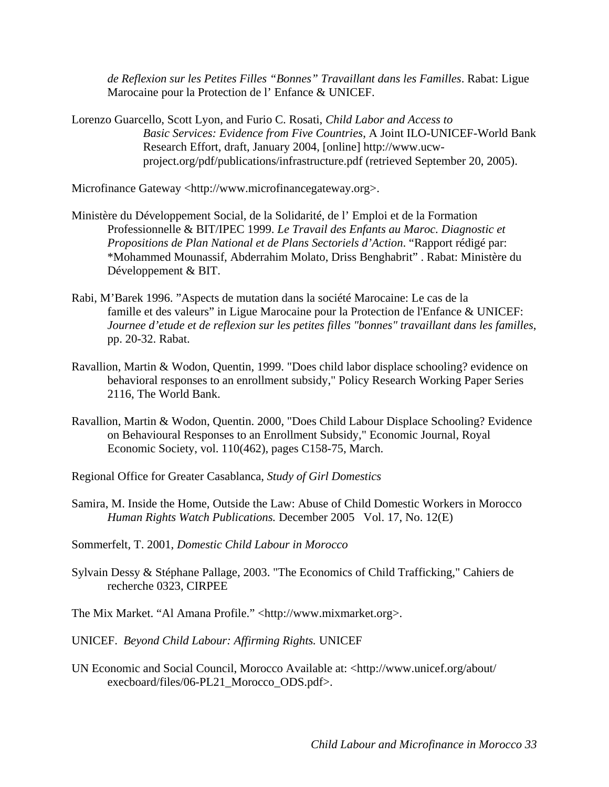*de Reflexion sur les Petites Filles "Bonnes" Travaillant dans les Familles*. Rabat: Ligue Marocaine pour la Protection de l' Enfance & UNICEF.

Lorenzo Guarcello, Scott Lyon, and Furio C. Rosati, *Child Labor and Access to Basic Services: Evidence from Five Countries*, A Joint ILO-UNICEF-World Bank Research Effort, draft, January 2004, [online] http://www.ucwproject.org/pdf/publications/infrastructure.pdf (retrieved September 20, 2005).

Microfinance Gateway <http://www.microfinancegateway.org>.

- Ministère du Développement Social, de la Solidarité, de l' Emploi et de la Formation Professionnelle & BIT/IPEC 1999. *Le Travail des Enfants au Maroc. Diagnostic et Propositions de Plan National et de Plans Sectoriels d'Action*. "Rapport rédigé par: \*Mohammed Mounassif, Abderrahim Molato, Driss Benghabrit" . Rabat: Ministère du Développement & BIT.
- Rabi, M'Barek 1996. "Aspects de mutation dans la société Marocaine: Le cas de la famille et des valeurs" in Ligue Marocaine pour la Protection de l'Enfance & UNICEF: *Journee d'etude et de reflexion sur les petites filles "bonnes" travaillant dans les familles*, pp. 20-32. Rabat.
- Ravallion, Martin & Wodon, Quentin, 1999. "Does child labor displace schooling? evidence on behavioral responses to an enrollment subsidy," Policy Research Working Paper Series 2116, The World Bank.
- Ravallion, Martin & Wodon, Quentin. 2000, "Does Child Labour Displace Schooling? Evidence on Behavioural Responses to an Enrollment Subsidy," Economic Journal, Royal Economic Society, vol. 110(462), pages C158-75, March.
- Regional Office for Greater Casablanca, *Study of Girl Domestics*
- Samira, M. Inside the Home, Outside the Law: Abuse of Child Domestic Workers in Morocco *Human Rights Watch Publications.* December 2005 Vol. 17, No. 12(E)

Sommerfelt, T. 2001, *Domestic Child Labour in Morocco*

Sylvain Dessy & Stéphane Pallage, 2003. "The Economics of Child Trafficking," Cahiers de recherche 0323, CIRPEE

The Mix Market. "Al Amana Profile." <http://www.mixmarket.org>.

UNICEF. *Beyond Child Labour: Affirming Rights.* UNICEF

UN Economic and Social Council, Morocco Available at: <http://www.unicef.org/about/ execboard/files/06-PL21\_Morocco\_ODS.pdf>.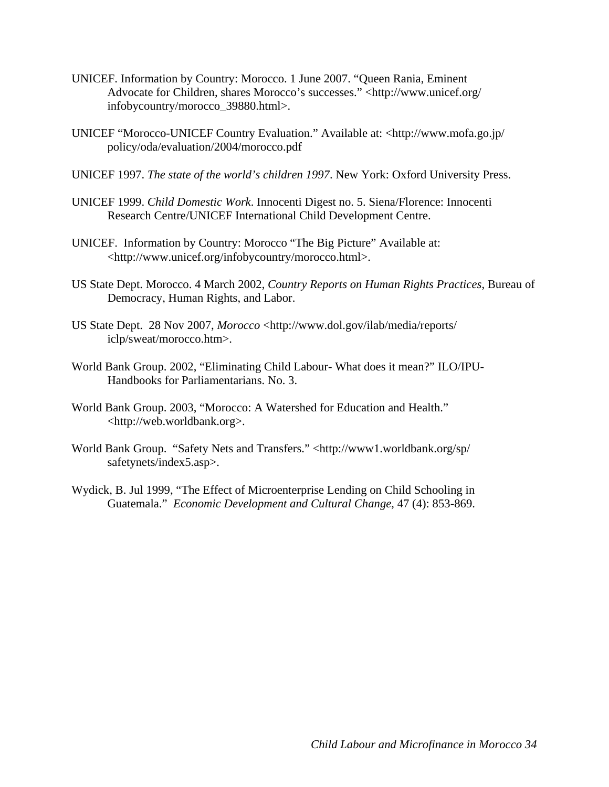- UNICEF. Information by Country: Morocco. 1 June 2007. "Queen Rania, Eminent Advocate for Children, shares Morocco's successes." <http://www.unicef.org/ infobycountry/morocco\_39880.html>.
- UNICEF "Morocco-UNICEF Country Evaluation." Available at: <http://www.mofa.go.jp/ policy/oda/evaluation/2004/morocco.pdf
- UNICEF 1997. *The state of the world's children 1997*. New York: Oxford University Press.
- UNICEF 1999. *Child Domestic Work*. Innocenti Digest no. 5. Siena/Florence: Innocenti Research Centre/UNICEF International Child Development Centre.
- UNICEF. Information by Country: Morocco "The Big Picture" Available at: <http://www.unicef.org/infobycountry/morocco.html>.
- US State Dept. Morocco. 4 March 2002, *Country Reports on Human Rights Practices*, Bureau of Democracy, Human Rights, and Labor.
- US State Dept. 28 Nov 2007, *Morocco* <http://www.dol.gov/ilab/media/reports/ iclp/sweat/morocco.htm>.
- World Bank Group. 2002, "Eliminating Child Labour- What does it mean?" ILO/IPU-Handbooks for Parliamentarians. No. 3.
- World Bank Group. 2003, "Morocco: A Watershed for Education and Health." <http://web.worldbank.org>.
- World Bank Group. "Safety Nets and Transfers." <http://www1.worldbank.org/sp/ safetynets/index5.asp>.
- Wydick, B. Jul 1999, "The Effect of Microenterprise Lending on Child Schooling in Guatemala." *Economic Development and Cultural Change*, 47 (4): 853-869.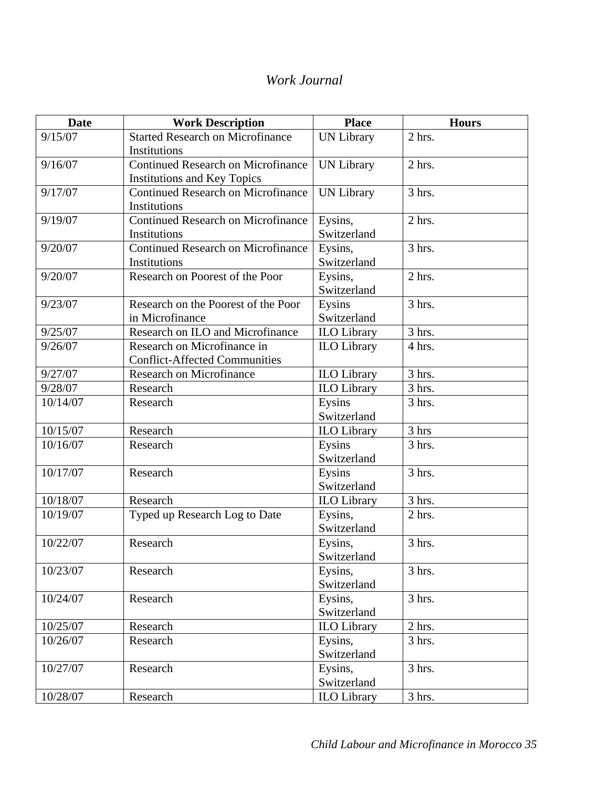# *Work Journal*

| <b>Date</b> | <b>Work Description</b>                   | <b>Place</b>       | <b>Hours</b> |  |
|-------------|-------------------------------------------|--------------------|--------------|--|
| 9/15/07     | <b>Started Research on Microfinance</b>   | <b>UN Library</b>  | 2 hrs.       |  |
|             | Institutions                              |                    |              |  |
| 9/16/07     | <b>Continued Research on Microfinance</b> | <b>UN Library</b>  | $2$ hrs.     |  |
|             | <b>Institutions and Key Topics</b>        |                    |              |  |
| 9/17/07     | <b>Continued Research on Microfinance</b> | <b>UN Library</b>  | 3 hrs.       |  |
|             | Institutions                              |                    |              |  |
| 9/19/07     | <b>Continued Research on Microfinance</b> | Eysins,            | 2 hrs.       |  |
|             | Institutions                              | Switzerland        |              |  |
| 9/20/07     | <b>Continued Research on Microfinance</b> | Eysins,            | 3 hrs.       |  |
|             | Institutions                              | Switzerland        |              |  |
| 9/20/07     | Research on Poorest of the Poor           | Eysins,            | $2$ hrs.     |  |
|             |                                           | Switzerland        |              |  |
| 9/23/07     | Research on the Poorest of the Poor       | Eysins             | 3 hrs.       |  |
|             | in Microfinance                           | Switzerland        |              |  |
| 9/25/07     | Research on ILO and Microfinance          | <b>ILO Library</b> | 3 hrs.       |  |
| 9/26/07     | Research on Microfinance in               | <b>ILO Library</b> | 4 hrs.       |  |
|             | <b>Conflict-Affected Communities</b>      |                    |              |  |
| 9/27/07     | <b>Research on Microfinance</b>           | <b>ILO Library</b> | 3 hrs.       |  |
| 9/28/07     | Research                                  | <b>ILO Library</b> | $3$ hrs.     |  |
| 10/14/07    | Research                                  | Eysins             | 3 hrs.       |  |
|             |                                           | Switzerland        |              |  |
| 10/15/07    | Research                                  | <b>ILO</b> Library | 3 hrs        |  |
| 10/16/07    | Research                                  | Eysins             | $3$ hrs.     |  |
|             |                                           | Switzerland        |              |  |
| 10/17/07    | Research                                  | Eysins             | 3 hrs.       |  |
|             |                                           | Switzerland        |              |  |
| 10/18/07    | Research                                  | <b>ILO Library</b> | 3 hrs.       |  |
| 10/19/07    | Typed up Research Log to Date             | Eysins,            | 2 hrs.       |  |
|             |                                           | Switzerland        |              |  |
| 10/22/07    | Research                                  | Eysins,            | 3 hrs.       |  |
|             |                                           | Switzerland        |              |  |
| 10/23/07    | Research                                  | Eysins,            | 3 hrs.       |  |
|             |                                           | Switzerland        |              |  |
| 10/24/07    | Research                                  | Eysins,            | 3 hrs.       |  |
|             |                                           | Switzerland        |              |  |
| 10/25/07    | Research                                  | <b>ILO</b> Library | $2$ hrs.     |  |
| 10/26/07    | Research                                  | Eysins,            | 3 hrs.       |  |
|             |                                           | Switzerland        |              |  |
| 10/27/07    | Research                                  | Eysins,            | 3 hrs.       |  |
|             |                                           | Switzerland        |              |  |
| 10/28/07    | Research                                  | <b>ILO</b> Library | $3$ hrs.     |  |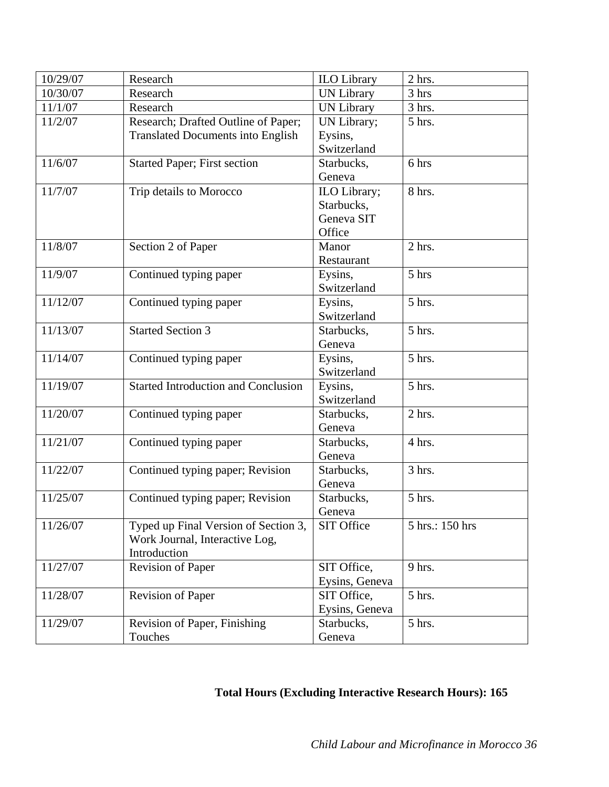| 10/29/07 | Research                                                                               | <b>ILO</b> Library                                 | 2 hrs.          |
|----------|----------------------------------------------------------------------------------------|----------------------------------------------------|-----------------|
| 10/30/07 | Research                                                                               | <b>UN Library</b>                                  | 3 hrs           |
| 11/1/07  | Research                                                                               | <b>UN Library</b>                                  | 3 hrs.          |
| 11/2/07  | Research; Drafted Outline of Paper;<br><b>Translated Documents into English</b>        | UN Library;<br>Eysins,<br>Switzerland              | 5 hrs.          |
| 11/6/07  | <b>Started Paper; First section</b>                                                    | Starbucks,<br>Geneva                               | 6 hrs           |
| 11/7/07  | Trip details to Morocco                                                                | ILO Library;<br>Starbucks,<br>Geneva SIT<br>Office | 8 hrs.          |
| 11/8/07  | Section 2 of Paper                                                                     | Manor<br>Restaurant                                | 2 hrs.          |
| 11/9/07  | Continued typing paper                                                                 | Eysins,<br>Switzerland                             | 5 hrs           |
| 11/12/07 | Continued typing paper                                                                 | Eysins,<br>Switzerland                             | 5 hrs.          |
| 11/13/07 | <b>Started Section 3</b>                                                               | Starbucks,<br>Geneva                               | 5 hrs.          |
| 11/14/07 | Continued typing paper                                                                 | Eysins,<br>Switzerland                             | 5 hrs.          |
| 11/19/07 | <b>Started Introduction and Conclusion</b>                                             | Eysins,<br>Switzerland                             | 5 hrs.          |
| 11/20/07 | Continued typing paper                                                                 | Starbucks,<br>Geneva                               | 2 hrs.          |
| 11/21/07 | Continued typing paper                                                                 | Starbucks,<br>Geneva                               | 4 hrs.          |
| 11/22/07 | Continued typing paper; Revision                                                       | Starbucks,<br>Geneva                               | $3$ hrs.        |
| 11/25/07 | Continued typing paper; Revision                                                       | Starbucks,<br>Geneva                               | 5 hrs.          |
| 11/26/07 | Typed up Final Version of Section 3,<br>Work Journal, Interactive Log,<br>Introduction | SIT Office                                         | 5 hrs.: 150 hrs |
| 11/27/07 | <b>Revision of Paper</b>                                                               | SIT Office,<br>Eysins, Geneva                      | 9 hrs.          |
| 11/28/07 | <b>Revision of Paper</b>                                                               | SIT Office,<br>Eysins, Geneva                      | 5 hrs.          |
| 11/29/07 | Revision of Paper, Finishing<br>Touches                                                | Starbucks,<br>Geneva                               | 5 hrs.          |

# **Total Hours (Excluding Interactive Research Hours): 165**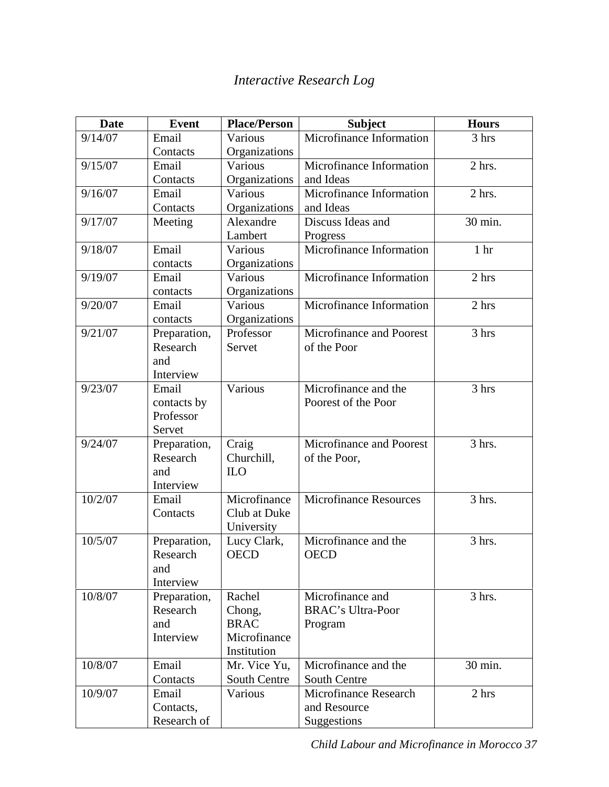# *Interactive Research Log*

| Date    | <b>Event</b>             | <b>Place/Person</b>   | <b>Subject</b>                               | <b>Hours</b>    |
|---------|--------------------------|-----------------------|----------------------------------------------|-----------------|
| 9/14/07 | Email                    | Various               | Microfinance Information                     | 3 hrs           |
|         | Contacts                 | Organizations         |                                              |                 |
| 9/15/07 | Email                    | Various               | Microfinance Information                     | $2$ hrs.        |
|         | Contacts                 | Organizations         | and Ideas                                    |                 |
| 9/16/07 | Email                    | Various               | Microfinance Information                     | 2 hrs.          |
|         | Contacts                 | Organizations         | and Ideas                                    |                 |
| 9/17/07 | Meeting                  | Alexandre             | Discuss Ideas and                            | 30 min.         |
|         |                          | Lambert               | Progress                                     |                 |
| 9/18/07 | Email                    | Various               | Microfinance Information                     | 1 <sub>hr</sub> |
|         | contacts                 | Organizations         |                                              |                 |
| 9/19/07 | Email                    | Various               | Microfinance Information                     | 2 hrs           |
|         | contacts                 | Organizations         |                                              |                 |
| 9/20/07 | Email                    | Various               | Microfinance Information                     | 2 hrs           |
|         | contacts                 | Organizations         |                                              |                 |
| 9/21/07 | Preparation,             | Professor             | Microfinance and Poorest                     | 3 hrs           |
|         | Research                 | Servet                | of the Poor                                  |                 |
|         | and                      |                       |                                              |                 |
|         | Interview                |                       |                                              |                 |
| 9/23/07 | Email                    | Various               | Microfinance and the                         | 3 hrs           |
|         | contacts by              |                       | Poorest of the Poor                          |                 |
|         | Professor                |                       |                                              |                 |
|         | Servet                   |                       |                                              |                 |
| 9/24/07 | Preparation,             | Craig                 | Microfinance and Poorest                     | 3 hrs.          |
|         | Research                 | Churchill,            | of the Poor,                                 |                 |
|         | and                      | <b>ILO</b>            |                                              |                 |
|         | Interview                |                       |                                              |                 |
| 10/2/07 | Email                    | Microfinance          | <b>Microfinance Resources</b>                | 3 hrs.          |
|         | Contacts                 | Club at Duke          |                                              |                 |
|         |                          | University            |                                              |                 |
| 10/5/07 | Preparation,             | Lucy Clark,           | Microfinance and the                         | 3 hrs.          |
|         | Research                 | <b>OECD</b>           | <b>OECD</b>                                  |                 |
|         | and                      |                       |                                              |                 |
|         | Interview                |                       |                                              |                 |
| 10/8/07 | Preparation,<br>Research | Rachel                | Microfinance and<br><b>BRAC's Ultra-Poor</b> | 3 hrs.          |
|         | and                      | Chong,<br><b>BRAC</b> |                                              |                 |
|         | Interview                | Microfinance          | Program                                      |                 |
|         |                          | Institution           |                                              |                 |
| 10/8/07 | Email                    | Mr. Vice Yu,          | Microfinance and the                         | 30 min.         |
|         | Contacts                 | South Centre          | South Centre                                 |                 |
| 10/9/07 | Email                    | Various               | <b>Microfinance Research</b>                 | 2 hrs           |
|         | Contacts,                |                       | and Resource                                 |                 |
|         | Research of              |                       | Suggestions                                  |                 |
|         |                          |                       |                                              |                 |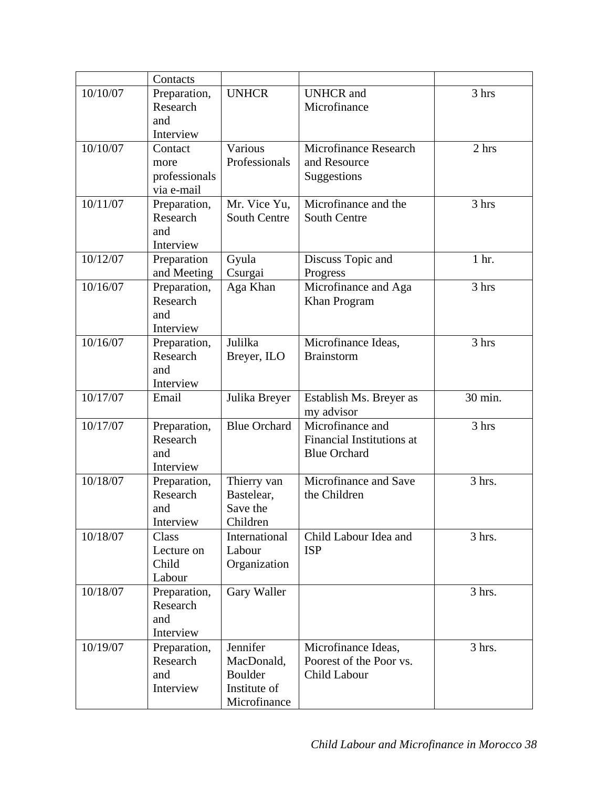|          | Contacts      |                     |                                  |         |
|----------|---------------|---------------------|----------------------------------|---------|
| 10/10/07 | Preparation,  | <b>UNHCR</b>        | <b>UNHCR</b> and                 | 3 hrs   |
|          | Research      |                     | Microfinance                     |         |
|          | and           |                     |                                  |         |
|          | Interview     |                     |                                  |         |
| 10/10/07 | Contact       | Various             | Microfinance Research            | 2 hrs   |
|          | more          | Professionals       | and Resource                     |         |
|          | professionals |                     | Suggestions                      |         |
|          | via e-mail    |                     |                                  |         |
| 10/11/07 | Preparation,  | Mr. Vice Yu,        | Microfinance and the             | 3 hrs   |
|          | Research      | <b>South Centre</b> | <b>South Centre</b>              |         |
|          | and           |                     |                                  |         |
|          | Interview     |                     |                                  |         |
| 10/12/07 | Preparation   | Gyula               | Discuss Topic and                | 1 hr.   |
|          | and Meeting   | Csurgai             | Progress                         |         |
| 10/16/07 | Preparation,  | Aga Khan            | Microfinance and Aga             | 3 hrs   |
|          | Research      |                     | Khan Program                     |         |
|          | and           |                     |                                  |         |
|          | Interview     |                     |                                  |         |
| 10/16/07 | Preparation,  | Julilka             | Microfinance Ideas,              | 3 hrs   |
|          | Research      | Breyer, ILO         | <b>Brainstorm</b>                |         |
|          | and           |                     |                                  |         |
|          | Interview     |                     |                                  |         |
| 10/17/07 | Email         | Julika Breyer       | Establish Ms. Breyer as          | 30 min. |
|          |               |                     | my advisor                       |         |
| 10/17/07 | Preparation,  | <b>Blue Orchard</b> | Microfinance and                 | 3 hrs   |
|          | Research      |                     | <b>Financial Institutions at</b> |         |
|          | and           |                     | <b>Blue Orchard</b>              |         |
|          | Interview     |                     |                                  |         |
| 10/18/07 | Preparation,  | Thierry van         | Microfinance and Save            | 3 hrs.  |
|          | Research      | Bastelear,          | the Children                     |         |
|          | and           | Save the            |                                  |         |
|          | Interview     | Children            |                                  |         |
| 10/18/07 | Class         | International       | Child Labour Idea and            | 3 hrs.  |
|          | Lecture on    | Labour              | <b>ISP</b>                       |         |
|          | Child         | Organization        |                                  |         |
|          | Labour        |                     |                                  |         |
| 10/18/07 | Preparation,  | Gary Waller         |                                  | 3 hrs.  |
|          | Research      |                     |                                  |         |
|          | and           |                     |                                  |         |
|          | Interview     |                     |                                  |         |
| 10/19/07 | Preparation,  | Jennifer            | Microfinance Ideas,              | 3 hrs.  |
|          | Research      | MacDonald,          | Poorest of the Poor vs.          |         |
|          | and           | <b>Boulder</b>      | Child Labour                     |         |
|          | Interview     | Institute of        |                                  |         |
|          |               | Microfinance        |                                  |         |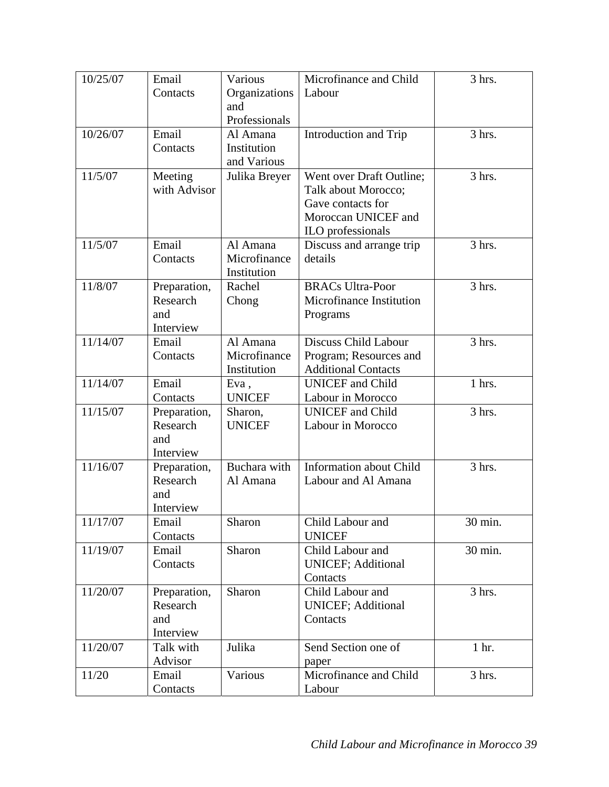| 10/25/07 | Email                    | Various                    | Microfinance and Child                                | 3 hrs.  |
|----------|--------------------------|----------------------------|-------------------------------------------------------|---------|
|          | Contacts                 | Organizations              | Labour                                                |         |
|          |                          | and                        |                                                       |         |
|          |                          | Professionals              |                                                       |         |
| 10/26/07 | Email                    | Al Amana                   | Introduction and Trip                                 | 3 hrs.  |
|          | Contacts                 | Institution<br>and Various |                                                       |         |
| 11/5/07  | Meeting                  | Julika Breyer              | Went over Draft Outline;                              | 3 hrs.  |
|          | with Advisor             |                            | Talk about Morocco;                                   |         |
|          |                          |                            | Gave contacts for                                     |         |
|          |                          |                            | Moroccan UNICEF and                                   |         |
|          |                          |                            | ILO professionals                                     |         |
| 11/5/07  | Email                    | Al Amana                   | Discuss and arrange trip                              | 3 hrs.  |
|          | Contacts                 | Microfinance               | details                                               |         |
|          |                          | Institution                |                                                       |         |
| 11/8/07  | Preparation,             | Rachel                     | <b>BRACs Ultra-Poor</b>                               | 3 hrs.  |
|          | Research                 | Chong                      | Microfinance Institution                              |         |
|          | and                      |                            | Programs                                              |         |
|          | Interview                |                            |                                                       |         |
| 11/14/07 | Email                    | Al Amana                   | Discuss Child Labour                                  | 3 hrs.  |
|          | Contacts                 | Microfinance               | Program; Resources and                                |         |
| 11/14/07 | Email                    | Institution                | <b>Additional Contacts</b><br><b>UNICEF</b> and Child | 1 hrs.  |
|          | Contacts                 | Eva,<br><b>UNICEF</b>      | Labour in Morocco                                     |         |
| 11/15/07 | Preparation,             | Sharon,                    | <b>UNICEF</b> and Child                               | 3 hrs.  |
|          | Research                 | <b>UNICEF</b>              | Labour in Morocco                                     |         |
|          | and                      |                            |                                                       |         |
|          | Interview                |                            |                                                       |         |
| 11/16/07 | Preparation,             | Buchara with               | <b>Information about Child</b>                        | 3 hrs.  |
|          | Research                 | Al Amana                   | Labour and Al Amana                                   |         |
|          | and                      |                            |                                                       |         |
|          | Interview                |                            |                                                       |         |
| 11/17/07 | Email                    | Sharon                     | Child Labour and                                      | 30 min. |
|          | Contacts                 |                            | <b>UNICEF</b>                                         |         |
| 11/19/07 | Email                    | Sharon                     | Child Labour and                                      | 30 min. |
|          | Contacts                 |                            | <b>UNICEF; Additional</b>                             |         |
| 11/20/07 |                          |                            | Contacts                                              |         |
|          | Preparation,<br>Research | Sharon                     | Child Labour and<br><b>UNICEF; Additional</b>         | 3 hrs.  |
|          | and                      |                            | Contacts                                              |         |
|          | Interview                |                            |                                                       |         |
| 11/20/07 | Talk with                | Julika                     | Send Section one of                                   | 1 hr.   |
|          | Advisor                  |                            | paper                                                 |         |
| 11/20    | Email                    | Various                    | Microfinance and Child                                | 3 hrs.  |
|          | Contacts                 |                            | Labour                                                |         |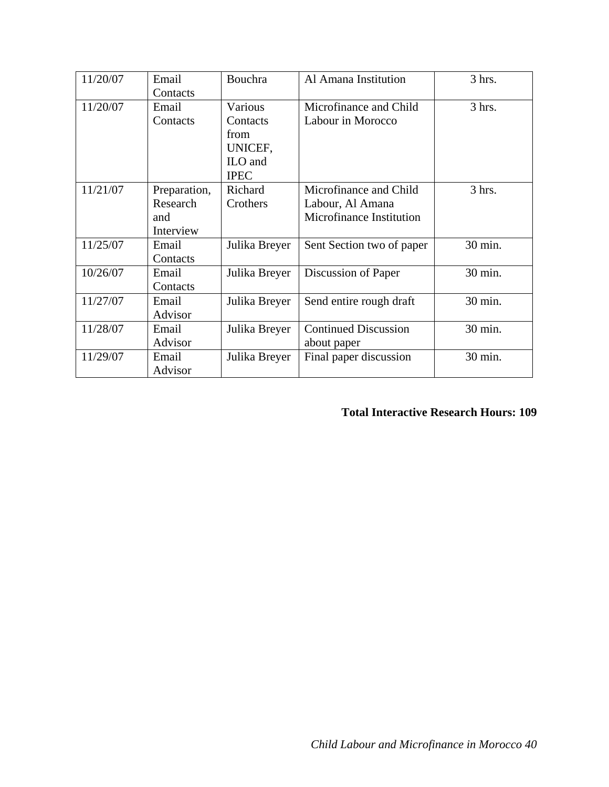| 11/20/07 | Email        | Bouchra       | Al Amana Institution        | 3 hrs.  |
|----------|--------------|---------------|-----------------------------|---------|
|          | Contacts     |               |                             |         |
| 11/20/07 | Email        | Various       | Microfinance and Child      | 3 hrs.  |
|          | Contacts     | Contacts      | Labour in Morocco           |         |
|          |              | from          |                             |         |
|          |              | UNICEF,       |                             |         |
|          |              | ILO and       |                             |         |
|          |              | <b>IPEC</b>   |                             |         |
| 11/21/07 | Preparation, | Richard       | Microfinance and Child      | 3 hrs.  |
|          | Research     | Crothers      | Labour, Al Amana            |         |
|          | and          |               | Microfinance Institution    |         |
|          | Interview    |               |                             |         |
| 11/25/07 | Email        | Julika Breyer | Sent Section two of paper   | 30 min. |
|          | Contacts     |               |                             |         |
| 10/26/07 | Email        | Julika Breyer | Discussion of Paper         | 30 min. |
|          | Contacts     |               |                             |         |
| 11/27/07 | Email        | Julika Breyer | Send entire rough draft     | 30 min. |
|          | Advisor      |               |                             |         |
| 11/28/07 | Email        | Julika Breyer | <b>Continued Discussion</b> | 30 min. |
|          | Advisor      |               | about paper                 |         |
| 11/29/07 | Email        | Julika Breyer | Final paper discussion      | 30 min. |
|          | Advisor      |               |                             |         |

# **Total Interactive Research Hours: 109**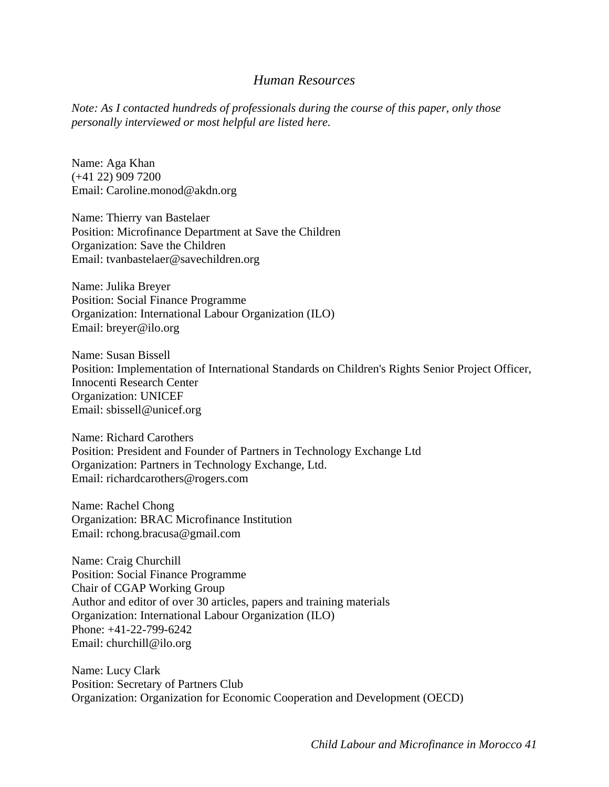## *Human Resources*

*Note: As I contacted hundreds of professionals during the course of this paper, only those personally interviewed or most helpful are listed here.* 

Name: Aga Khan (+41 22) 909 7200 Email: Caroline.monod@akdn.org

Name: Thierry van Bastelaer Position: Microfinance Department at Save the Children Organization: Save the Children Email: tvanbastelaer@savechildren.org

Name: Julika Breyer Position: Social Finance Programme Organization: International Labour Organization (ILO) Email: breyer@ilo.org

Name: Susan Bissell Position: Implementation of International Standards on Children's Rights Senior Project Officer, Innocenti Research Center Organization: UNICEF Email: sbissell@unicef.org

Name: Richard Carothers Position: President and Founder of Partners in Technology Exchange Ltd Organization: Partners in Technology Exchange, Ltd. Email: richardcarothers@rogers.com

Name: Rachel Chong Organization: BRAC Microfinance Institution Email: rchong.bracusa@gmail.com

Name: Craig Churchill Position: Social Finance Programme Chair of CGAP Working Group Author and editor of over 30 articles, papers and training materials Organization: International Labour Organization (ILO) Phone: +41-22-799-6242 Email: churchill@ilo.org

Name: Lucy Clark Position: Secretary of Partners Club Organization: Organization for Economic Cooperation and Development (OECD)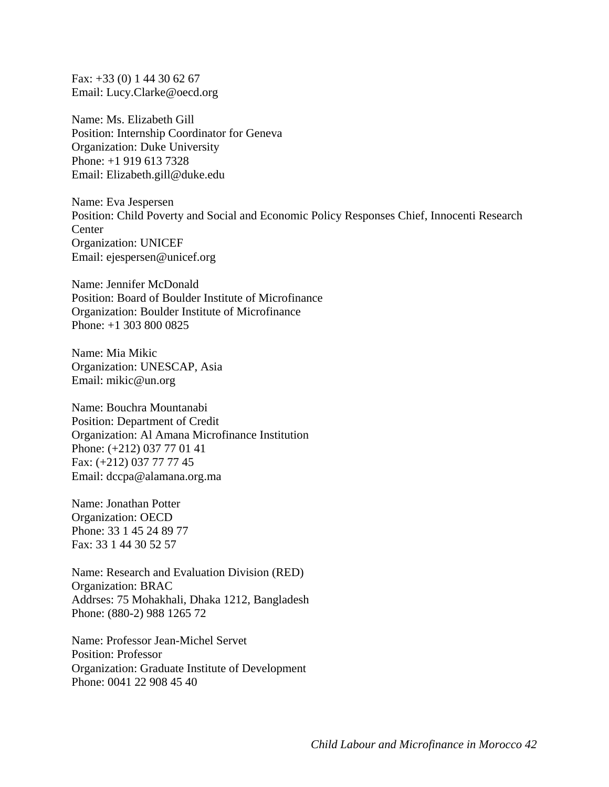Fax: +33 (0) 1 44 30 62 67 Email: Lucy.Clarke@oecd.org

Name: Ms. Elizabeth Gill Position: Internship Coordinator for Geneva Organization: Duke University Phone: +1 919 613 7328 Email: Elizabeth.gill@duke.edu

Name: Eva Jespersen Position: Child Poverty and Social and Economic Policy Responses Chief, Innocenti Research **Center** Organization: UNICEF Email: ejespersen@unicef.org

Name: Jennifer McDonald Position: Board of Boulder Institute of Microfinance Organization: Boulder Institute of Microfinance Phone: +1 303 800 0825

Name: Mia Mikic Organization: UNESCAP, Asia Email: mikic@un.org

Name: Bouchra Mountanabi Position: Department of Credit Organization: Al Amana Microfinance Institution Phone: (+212) 037 77 01 41 Fax: (+212) 037 77 77 45 Email: dccpa@alamana.org.ma

Name: Jonathan Potter Organization: OECD Phone: 33 1 45 24 89 77 Fax: 33 1 44 30 52 57

Name: Research and Evaluation Division (RED) Organization: BRAC Addrses: 75 Mohakhali, Dhaka 1212, Bangladesh Phone: (880-2) 988 1265 72

Name: Professor Jean-Michel Servet Position: Professor Organization: Graduate Institute of Development Phone: 0041 22 908 45 40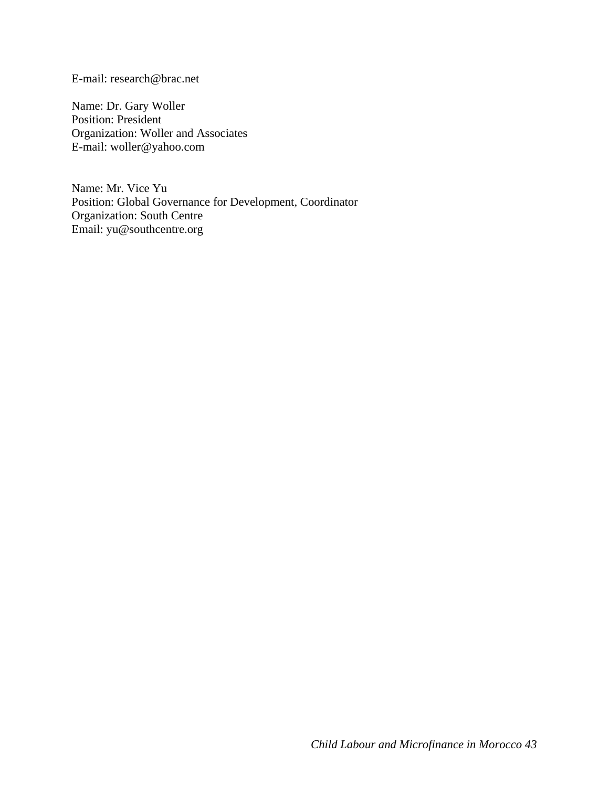E-mail: research@brac.net

Name: Dr. Gary Woller Position: President Organization: Woller and Associates E-mail: woller@yahoo.com

Name: Mr. Vice Yu Position: Global Governance for Development, Coordinator Organization: South Centre Email: yu@southcentre.org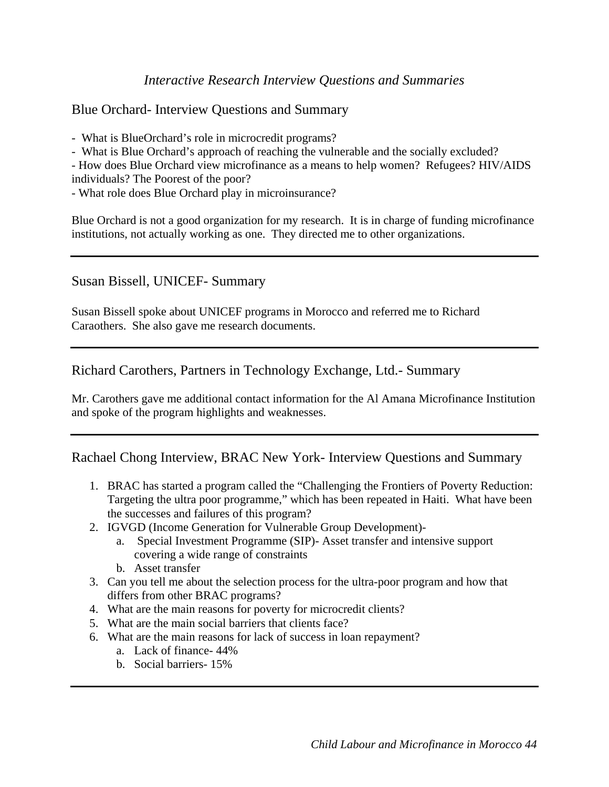## *Interactive Research Interview Questions and Summaries*

## Blue Orchard- Interview Questions and Summary

- What is BlueOrchard's role in microcredit programs?

- What is Blue Orchard's approach of reaching the vulnerable and the socially excluded?

- How does Blue Orchard view microfinance as a means to help women? Refugees? HIV/AIDS individuals? The Poorest of the poor?

- What role does Blue Orchard play in microinsurance?

Blue Orchard is not a good organization for my research. It is in charge of funding microfinance institutions, not actually working as one. They directed me to other organizations.

## Susan Bissell, UNICEF- Summary

Susan Bissell spoke about UNICEF programs in Morocco and referred me to Richard Caraothers. She also gave me research documents.

## Richard Carothers, Partners in Technology Exchange, Ltd.- Summary

Mr. Carothers gave me additional contact information for the Al Amana Microfinance Institution and spoke of the program highlights and weaknesses.

## Rachael Chong Interview, BRAC New York- Interview Questions and Summary

- 1. BRAC has started a program called the "Challenging the Frontiers of Poverty Reduction: Targeting the ultra poor programme," which has been repeated in Haiti. What have been the successes and failures of this program?
- 2. IGVGD (Income Generation for Vulnerable Group Development)
	- a. Special Investment Programme (SIP)- Asset transfer and intensive support covering a wide range of constraints
	- b. Asset transfer
- 3. Can you tell me about the selection process for the ultra-poor program and how that differs from other BRAC programs?
- 4. What are the main reasons for poverty for microcredit clients?
- 5. What are the main social barriers that clients face?
- 6. What are the main reasons for lack of success in loan repayment?
	- a. Lack of finance- 44%
	- b. Social barriers- 15%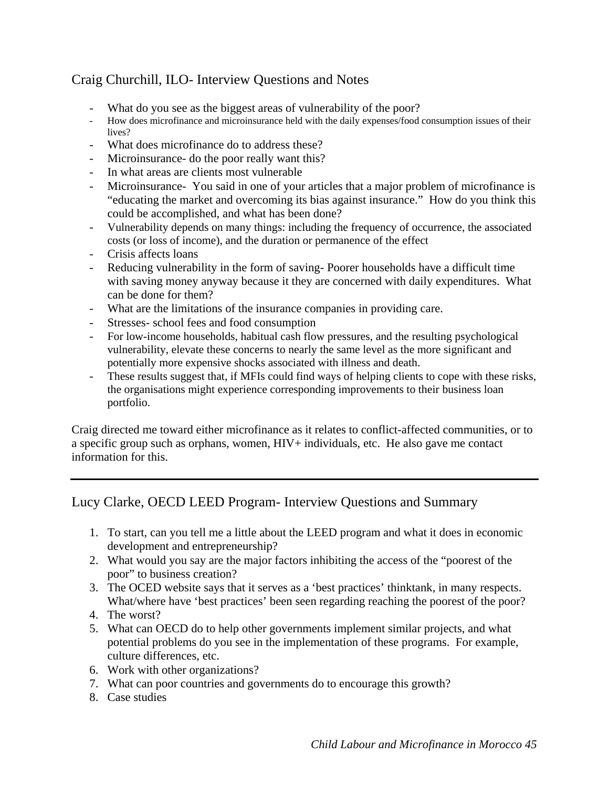# Craig Churchill, ILO- Interview Questions and Notes

- 
- What do you see as the biggest areas of vulnerability of the poor?<br>How does microfinance and microinsurance held with the daily expenses/food consumption issues of their lives?
- What does microfinance do to address these?
- Microinsurance- do the poor really want this?
- In what areas are clients most vulnerable
- Microinsurance- You said in one of your articles that a major problem of microfinance is "educating the market and overcoming its bias against insurance." How do you think this could be accomplished, and what has been done?
- Vulnerability depends on many things: including the frequency of occurrence, the associated costs (or loss of income), and the duration or permanence of the effect
- Crisis affects loans
- Reducing vulnerability in the form of saving- Poorer households have a difficult time with saving money anyway because it they are concerned with daily expenditures. What can be done for them?
- What are the limitations of the insurance companies in providing care.
- Stresses- school fees and food consumption
- For low-income households, habitual cash flow pressures, and the resulting psychological vulnerability, elevate these concerns to nearly the same level as the more significant and potentially more expensive shocks associated with illness and death.
- These results suggest that, if MFIs could find ways of helping clients to cope with these risks, the organisations might experience corresponding improvements to their business loan portfolio.

Craig directed me toward either microfinance as it relates to conflict-affected communities, or to a specific group such as orphans, women, HIV+ individuals, etc. He also gave me contact information for this.

# Lucy Clarke, OECD LEED Program- Interview Questions and Summary

- 1. To start, can you tell me a little about the LEED program and what it does in economic development and entrepreneurship?
- 2. What would you say are the major factors inhibiting the access of the "poorest of the poor" to business creation?
- 3. The OCED website says that it serves as a 'best practices' thinktank, in many respects. What/where have 'best practices' been seen regarding reaching the poorest of the poor?
- 4. The worst?
- 5. What can OECD do to help other governments implement similar projects, and what potential problems do you see in the implementation of these programs. For example, culture differences, etc.
- 6. Work with other organizations?
- 7. What can poor countries and governments do to encourage this growth?
- 8. Case studies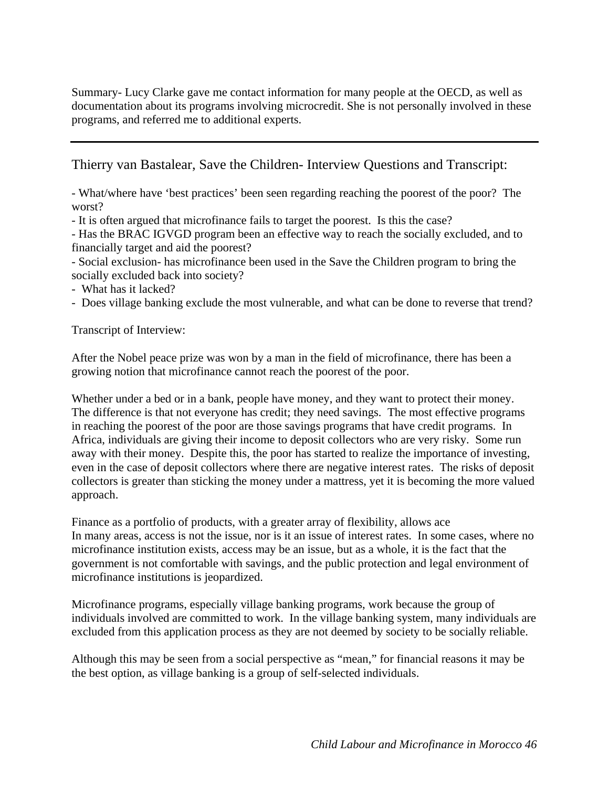Summary- Lucy Clarke gave me contact information for many people at the OECD, as well as documentation about its programs involving microcredit. She is not personally involved in these programs, and referred me to additional experts.

Thierry van Bastalear, Save the Children- Interview Questions and Transcript:

- What/where have 'best practices' been seen regarding reaching the poorest of the poor? The worst?

- It is often argued that microfinance fails to target the poorest. Is this the case?

- Has the BRAC IGVGD program been an effective way to reach the socially excluded, and to financially target and aid the poorest?

- Social exclusion- has microfinance been used in the Save the Children program to bring the socially excluded back into society?

- What has it lacked?

- Does village banking exclude the most vulnerable, and what can be done to reverse that trend?

Transcript of Interview:

After the Nobel peace prize was won by a man in the field of microfinance, there has been a growing notion that microfinance cannot reach the poorest of the poor.

Whether under a bed or in a bank, people have money, and they want to protect their money. The difference is that not everyone has credit; they need savings. The most effective programs in reaching the poorest of the poor are those savings programs that have credit programs. In Africa, individuals are giving their income to deposit collectors who are very risky. Some run away with their money. Despite this, the poor has started to realize the importance of investing, even in the case of deposit collectors where there are negative interest rates. The risks of deposit collectors is greater than sticking the money under a mattress, yet it is becoming the more valued approach.

Finance as a portfolio of products, with a greater array of flexibility, allows ace In many areas, access is not the issue, nor is it an issue of interest rates. In some cases, where no microfinance institution exists, access may be an issue, but as a whole, it is the fact that the government is not comfortable with savings, and the public protection and legal environment of microfinance institutions is jeopardized.

Microfinance programs, especially village banking programs, work because the group of individuals involved are committed to work. In the village banking system, many individuals are excluded from this application process as they are not deemed by society to be socially reliable.

Although this may be seen from a social perspective as "mean," for financial reasons it may be the best option, as village banking is a group of self-selected individuals.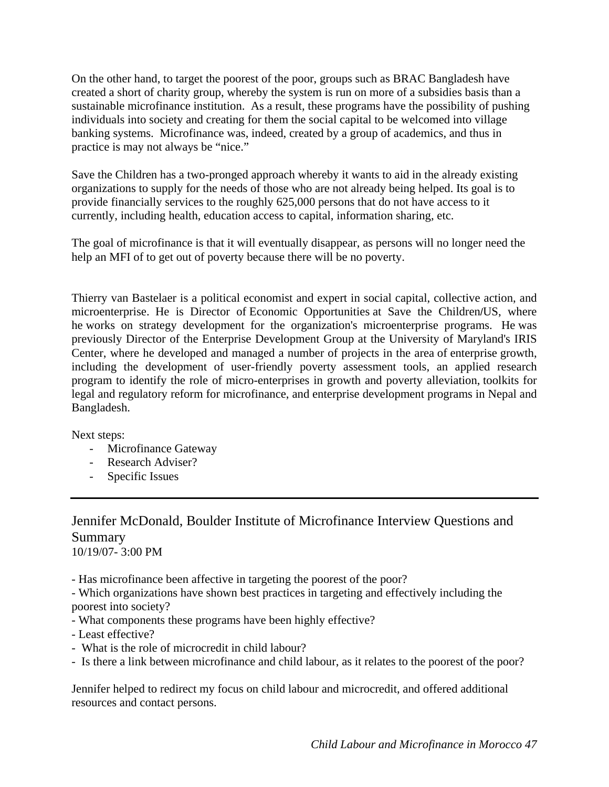On the other hand, to target the poorest of the poor, groups such as BRAC Bangladesh have created a short of charity group, whereby the system is run on more of a subsidies basis than a sustainable microfinance institution. As a result, these programs have the possibility of pushing individuals into society and creating for them the social capital to be welcomed into village banking systems. Microfinance was, indeed, created by a group of academics, and thus in practice is may not always be "nice."

Save the Children has a two-pronged approach whereby it wants to aid in the already existing organizations to supply for the needs of those who are not already being helped. Its goal is to provide financially services to the roughly 625,000 persons that do not have access to it currently, including health, education access to capital, information sharing, etc.

The goal of microfinance is that it will eventually disappear, as persons will no longer need the help an MFI of to get out of poverty because there will be no poverty.

Thierry van Bastelaer is a political economist and expert in social capital, collective action, and microenterprise. He is Director of Economic Opportunities at Save the Children/US, where he works on strategy development for the organization's microenterprise programs. He was previously Director of the Enterprise Development Group at the University of Maryland's IRIS Center, where he developed and managed a number of projects in the area of enterprise growth, including the development of user-friendly poverty assessment tools, an applied research program to identify the role of micro-enterprises in growth and poverty alleviation, toolkits for legal and regulatory reform for microfinance, and enterprise development programs in Nepal and Bangladesh.

Next steps:

- Microfinance Gateway
- Research Adviser?
- Specific Issues

# Jennifer McDonald, Boulder Institute of Microfinance Interview Questions and Summary

10/19/07- 3:00 PM

- Has microfinance been affective in targeting the poorest of the poor?

- Which organizations have shown best practices in targeting and effectively including the poorest into society?

- What components these programs have been highly effective?
- Least effective?
- What is the role of microcredit in child labour?
- Is there a link between microfinance and child labour, as it relates to the poorest of the poor?

Jennifer helped to redirect my focus on child labour and microcredit, and offered additional resources and contact persons.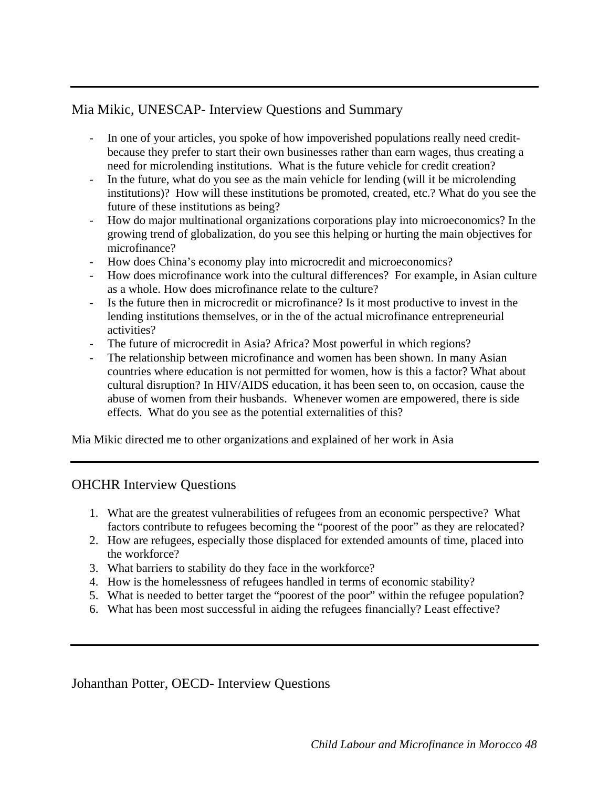# Mia Mikic, UNESCAP- Interview Questions and Summary

- In one of your articles, you spoke of how impoverished populations really need creditbecause they prefer to start their own businesses rather than earn wages, thus creating a need for microlending institutions. What is the future vehicle for credit creation?
- In the future, what do you see as the main vehicle for lending (will it be microlending institutions)? How will these institutions be promoted, created, etc.? What do you see the future of these institutions as being?
- How do major multinational organizations corporations play into microeconomics? In the growing trend of globalization, do you see this helping or hurting the main objectives for microfinance?
- How does China's economy play into microcredit and microeconomics?
- How does microfinance work into the cultural differences? For example, in Asian culture as a whole. How does microfinance relate to the culture?
- Is the future then in microcredit or microfinance? Is it most productive to invest in the lending institutions themselves, or in the of the actual microfinance entrepreneurial activities?
- The future of microcredit in Asia? Africa? Most powerful in which regions?
- The relationship between microfinance and women has been shown. In many Asian countries where education is not permitted for women, how is this a factor? What about cultural disruption? In HIV/AIDS education, it has been seen to, on occasion, cause the abuse of women from their husbands. Whenever women are empowered, there is side effects. What do you see as the potential externalities of this?

Mia Mikic directed me to other organizations and explained of her work in Asia

# OHCHR Interview Questions

- 1. What are the greatest vulnerabilities of refugees from an economic perspective? What factors contribute to refugees becoming the "poorest of the poor" as they are relocated?
- 2. How are refugees, especially those displaced for extended amounts of time, placed into the workforce?
- 3. What barriers to stability do they face in the workforce?
- 4. How is the homelessness of refugees handled in terms of economic stability?
- 5. What is needed to better target the "poorest of the poor" within the refugee population?
- 6. What has been most successful in aiding the refugees financially? Least effective?

# Johanthan Potter, OECD- Interview Questions